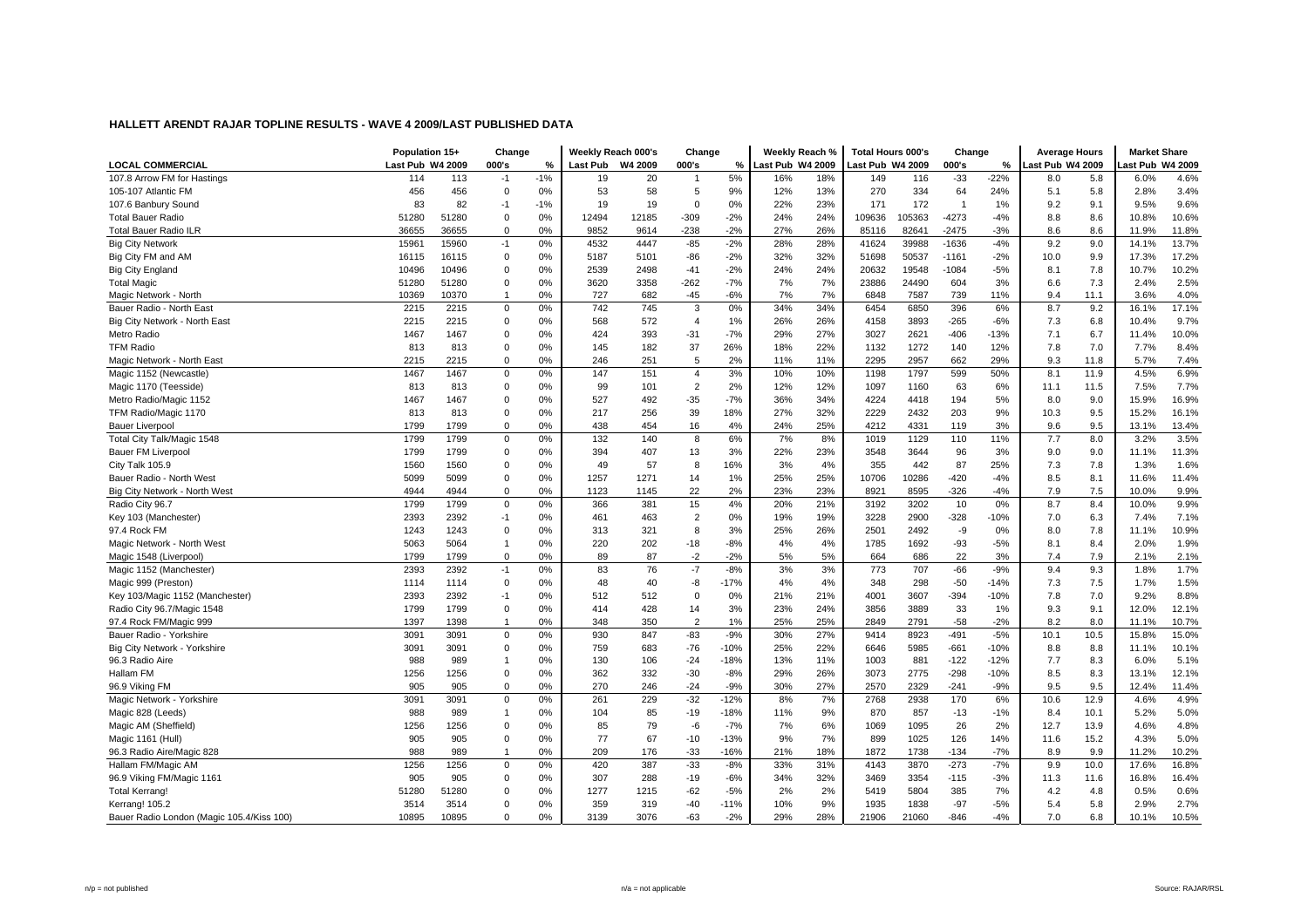| 5%<br>107.8 Arrow FM for Hastings<br>114<br>113<br>$-1%$<br>20<br>18%<br>116<br>$-33$<br>$-22%$<br>6.0%<br>4.6%<br>$-1$<br>19<br>16%<br>149<br>8.0<br>5.8<br>456<br>456<br>$0\%$<br>53<br>58<br>9%<br>12%<br>13%<br>270<br>334<br>64<br>24%<br>5.1<br>2.8%<br>3.4%<br>105-107 Atlantic FM<br>0<br>5<br>5.8<br>23%<br>9.6%<br>107.6 Banbury Sound<br>83<br>82<br>$-1$<br>$-1%$<br>19<br>19<br>0%<br>22%<br>171<br>172<br>$\overline{1}$<br>1%<br>9.2<br>9.1<br>9.5%<br>$\Omega$<br>$-2%$<br>105363<br>10.6%<br>51280<br>51280<br>0%<br>12494<br>12185<br>$-309$<br>24%<br>24%<br>109636<br>$-4273$<br>8.8<br>8.6<br>10.8%<br><b>Total Bauer Radio</b><br>0<br>$-4%$<br>0%<br>9852<br>$-238$<br>$-2%$<br>26%<br>$-3%$<br>11.8%<br><b>Total Bauer Radio ILR</b><br>36655<br>36655<br>$\Omega$<br>9614<br>27%<br>85116<br>82641<br>$-2475$<br>8.6<br>8.6<br>11.9%<br>$-2%$<br>$-85$<br>28%<br>39988<br>9.2<br>13.7%<br>15961<br>15960<br>0%<br>4532<br>4447<br>28%<br>$-1636$<br>$-4%$<br>9.0<br>14.1%<br><b>Big City Network</b><br>$-1$<br>41624<br>17.2%<br>Big City FM and AM<br>$-2%$<br>32%<br>50537<br>16115<br>16115<br>$\Omega$<br>0%<br>5187<br>5101<br>-86<br>32%<br>51698<br>$-1161$<br>$-2%$<br>10.0<br>9.9<br>17.3%<br>$-2%$<br>24%<br>10.2%<br>10496<br>10496<br>$\mathbf 0$<br>0%<br>2539<br>2498<br>$-41$<br>24%<br>20632<br>19548<br>$-1084$<br>$-5%$<br>7.8<br>10.7%<br><b>Big City England</b><br>8.1<br>2.5%<br>0%<br>3620<br>3358<br>$-262$<br>$-7%$<br>7%<br>7%<br>24490<br>7.3<br>2.4%<br><b>Total Magic</b><br>51280<br>51280<br>$\Omega$<br>23886<br>604<br>3%<br>6.6<br>$-45$<br>$-6%$<br>7%<br>7%<br>11.1<br>4.0%<br>10369<br>10370<br>0%<br>727<br>682<br>7587<br>739<br>11%<br>9.4<br>3.6%<br>Magic Network - North<br>6848<br>$\overline{1}$<br>2215<br>742<br>3<br>34%<br>8.7<br>17.1%<br>Bauer Radio - North East<br>2215<br>$\mathbf 0$<br>0%<br>745<br>0%<br>34%<br>6454<br>6850<br>396<br>6%<br>9.2<br>16.1%<br>9.7%<br>Big City Network - North East<br>2215<br>2215<br>$\Omega$<br>0%<br>568<br>572<br>$\overline{4}$<br>1%<br>26%<br>26%<br>4158<br>3893<br>$-265$<br>$-6%$<br>7.3<br>6.8<br>10.4%<br>424<br>393<br>$-31$<br>$-7%$<br>29%<br>27%<br>3027<br>2621<br>$-406$<br>$-13%$<br>7.1<br>6.7<br>11.4%<br>10.0%<br>Metro Radio<br>1467<br>1467<br>$\mathbf 0$<br>0%<br><b>TFM Radio</b><br>182<br>37<br>26%<br>22%<br>1132<br>1272<br>12%<br>7.8<br>7.0<br>7.7%<br>8.4%<br>813<br>813<br>$\Omega$<br>0%<br>145<br>18%<br>140<br>0%<br>5<br>2%<br>2957<br>662<br>29%<br>2215<br>2215<br>$\Omega$<br>246<br>251<br>11%<br>11%<br>2295<br>9.3<br>11.8<br>5.7%<br>7.4%<br>Magic Network - North East<br>6.9%<br>Magic 1152 (Newcastle)<br>1467<br>1467<br>0%<br>147<br>151<br>3%<br>10%<br>10%<br>1198<br>1797<br>599<br>50%<br>8.1<br>11.9<br>4.5%<br>0<br>$\overline{4}$<br>$\overline{2}$<br>2%<br>12%<br>1160<br>11.5<br>7.7%<br>Magic 1170 (Teesside)<br>813<br>813<br>$\mathbf 0$<br>0%<br>99<br>101<br>12%<br>1097<br>63<br>6%<br>11.1<br>7.5%<br>16.9%<br>1467<br>527<br>$-35$<br>$-7%$<br>36%<br>34%<br>4224<br>9.0<br>15.9%<br>Metro Radio/Magic 1152<br>1467<br>$\Omega$<br>0%<br>492<br>4418<br>194<br>5%<br>8.0<br>39<br>2229<br>2432<br>16.1%<br>TFM Radio/Magic 1170<br>813<br>813<br>$\mathbf 0$<br>0%<br>217<br>256<br>18%<br>27%<br>32%<br>203<br>9%<br>10.3<br>9.5<br>15.2%<br>438<br>25%<br>4331<br>9.5<br>13.1%<br>13.4%<br><b>Bauer Liverpool</b><br>1799<br>1799<br>$\Omega$<br>0%<br>454<br>16<br>4%<br>24%<br>4212<br>119<br>3%<br>9.6<br>7.7<br>3.5%<br>1799<br>1799<br>$\Omega$<br>0%<br>132<br>140<br>8<br>6%<br>7%<br>8%<br>1019<br>1129<br>11%<br>8.0<br>3.2%<br>Total City Talk/Magic 1548<br>110<br>1799<br>1799<br>$\mathbf 0$<br>0%<br>394<br>13<br>3%<br>22%<br>23%<br>3548<br>3644<br>96<br>3%<br>9.0<br>11.1%<br>11.3%<br>Bauer FM Liverpool<br>407<br>9.0<br>4%<br>87<br>1.6%<br>City Talk 105.9<br>1560<br>1560<br>$\mathbf 0$<br>0%<br>49<br>57<br>8<br>16%<br>3%<br>355<br>442<br>25%<br>7.3<br>7.8<br>1.3%<br>8.5<br>11.4%<br>0%<br>1271<br>14<br>25%<br>25%<br>10286<br>$-420$<br>8.1<br>Bauer Radio - North West<br>5099<br>5099<br>$\mathbf 0$<br>1257<br>1%<br>10706<br>$-4%$<br>11.6%<br>22<br>2%<br>23%<br>9.9%<br>4944<br>$\Omega$<br>0%<br>1123<br>23%<br>8921<br>8595<br>$-326$<br>$-4%$<br>7.9<br>7.5<br>10.0%<br>Big City Network - North West<br>4944<br>1145<br>1799<br>15<br>4%<br>21%<br>3202<br>0%<br>8.7<br>9.9%<br>Radio City 96.7<br>1799<br>$\mathbf 0$<br>0%<br>366<br>381<br>20%<br>3192<br>10<br>8.4<br>10.0%<br>Key 103 (Manchester)<br>2393<br>2392<br>0%<br>461<br>463<br>$\overline{2}$<br>0%<br>19%<br>19%<br>3228<br>2900<br>$-328$<br>$-10%$<br>7.0<br>6.3<br>7.4%<br>7.1%<br>$-1$<br>2501<br>8.0<br>7.8<br>10.9%<br>1243<br>1243<br>$\Omega$<br>0%<br>313<br>321<br>8<br>3%<br>25%<br>26%<br>2492<br>-9<br>0%<br>11.1%<br>97.4 Rock FM<br>5063<br>5064<br>0%<br>220<br>202<br>$-18$<br>$-8%$<br>4%<br>4%<br>1785<br>1692<br>$-93$<br>$-5%$<br>8.1<br>8.4<br>2.0%<br>1.9%<br>Magic Network - North West<br>$\overline{1}$<br>1799<br>1799<br>$\mathbf 0$<br>0%<br>89<br>87<br>$-2$<br>$-2%$<br>5%<br>5%<br>664<br>686<br>22<br>3%<br>7.4<br>7.9<br>2.1%<br>2.1%<br>Magic 1548 (Liverpool)<br>2392<br>76<br>$-7$<br>$-8%$<br>3%<br>$-66$<br>$-9%$<br>1.7%<br>2393<br>$-1$<br>0%<br>83<br>3%<br>773<br>707<br>9.4<br>9.3<br>1.8%<br>Magic 1152 (Manchester)<br>4%<br>298<br>1.5%<br>Magic 999 (Preston)<br>1114<br>$\mathbf 0$<br>0%<br>48<br>40<br>-8<br>$-17%$<br>4%<br>348<br>$-50$<br>$-14%$<br>7.3<br>7.5<br>1.7%<br>1114<br>8.8%<br>2393<br>2392<br>0%<br>512<br>512<br>$\mathbf 0$<br>0%<br>21%<br>21%<br>4001<br>3607<br>$-394$<br>$-10%$<br>7.8<br>7.0<br>9.2%<br>Key 103/Magic 1152 (Manchester)<br>$-1$ | <b>LOCAL COMMERCIAL</b>    | Population 15+<br>Last Pub W4 2009 |      | Change<br>000's | %  | Weekly Reach 000's<br>Last Pub W4 2009 |     | Change<br>000's | %  | Weekly Reach %<br>Last Pub W4 2009 |     | <b>Total Hours 000's</b><br>Last Pub W4 2009 |      | Change<br>000's | %  | <b>Average Hours</b><br>ast Pub W4 2009 |     | <b>Market Share</b><br>ast Pub W4 2009 |       |
|------------------------------------------------------------------------------------------------------------------------------------------------------------------------------------------------------------------------------------------------------------------------------------------------------------------------------------------------------------------------------------------------------------------------------------------------------------------------------------------------------------------------------------------------------------------------------------------------------------------------------------------------------------------------------------------------------------------------------------------------------------------------------------------------------------------------------------------------------------------------------------------------------------------------------------------------------------------------------------------------------------------------------------------------------------------------------------------------------------------------------------------------------------------------------------------------------------------------------------------------------------------------------------------------------------------------------------------------------------------------------------------------------------------------------------------------------------------------------------------------------------------------------------------------------------------------------------------------------------------------------------------------------------------------------------------------------------------------------------------------------------------------------------------------------------------------------------------------------------------------------------------------------------------------------------------------------------------------------------------------------------------------------------------------------------------------------------------------------------------------------------------------------------------------------------------------------------------------------------------------------------------------------------------------------------------------------------------------------------------------------------------------------------------------------------------------------------------------------------------------------------------------------------------------------------------------------------------------------------------------------------------------------------------------------------------------------------------------------------------------------------------------------------------------------------------------------------------------------------------------------------------------------------------------------------------------------------------------------------------------------------------------------------------------------------------------------------------------------------------------------------------------------------------------------------------------------------------------------------------------------------------------------------------------------------------------------------------------------------------------------------------------------------------------------------------------------------------------------------------------------------------------------------------------------------------------------------------------------------------------------------------------------------------------------------------------------------------------------------------------------------------------------------------------------------------------------------------------------------------------------------------------------------------------------------------------------------------------------------------------------------------------------------------------------------------------------------------------------------------------------------------------------------------------------------------------------------------------------------------------------------------------------------------------------------------------------------------------------------------------------------------------------------------------------------------------------------------------------------------------------------------------------------------------------------------------------------------------------------------------------------------------------------------------------------------------------------------------------------------------------------------------------------------------------------------------------------------------------------------------------------------------------------------------------------------------------------------------------------------------------------------------------------------------------------------------------------------------------------------------------------------------------------------------------------------------------------------------------------------------------------------------------------------------------------------------------------------------------------------------------------------------------------------------------------------------------------------------------------------------------------------------------------------------------------------------------------------------------------------------------------------------------------------------------------------------------------------------------|----------------------------|------------------------------------|------|-----------------|----|----------------------------------------|-----|-----------------|----|------------------------------------|-----|----------------------------------------------|------|-----------------|----|-----------------------------------------|-----|----------------------------------------|-------|
|                                                                                                                                                                                                                                                                                                                                                                                                                                                                                                                                                                                                                                                                                                                                                                                                                                                                                                                                                                                                                                                                                                                                                                                                                                                                                                                                                                                                                                                                                                                                                                                                                                                                                                                                                                                                                                                                                                                                                                                                                                                                                                                                                                                                                                                                                                                                                                                                                                                                                                                                                                                                                                                                                                                                                                                                                                                                                                                                                                                                                                                                                                                                                                                                                                                                                                                                                                                                                                                                                                                                                                                                                                                                                                                                                                                                                                                                                                                                                                                                                                                                                                                                                                                                                                                                                                                                                                                                                                                                                                                                                                                                                                                                                                                                                                                                                                                                                                                                                                                                                                                                                                                                                                                                                                                                                                                                                                                                                                                                                                                                                                                                                                                                                                                              |                            |                                    |      |                 |    |                                        |     |                 |    |                                    |     |                                              |      |                 |    |                                         |     |                                        |       |
|                                                                                                                                                                                                                                                                                                                                                                                                                                                                                                                                                                                                                                                                                                                                                                                                                                                                                                                                                                                                                                                                                                                                                                                                                                                                                                                                                                                                                                                                                                                                                                                                                                                                                                                                                                                                                                                                                                                                                                                                                                                                                                                                                                                                                                                                                                                                                                                                                                                                                                                                                                                                                                                                                                                                                                                                                                                                                                                                                                                                                                                                                                                                                                                                                                                                                                                                                                                                                                                                                                                                                                                                                                                                                                                                                                                                                                                                                                                                                                                                                                                                                                                                                                                                                                                                                                                                                                                                                                                                                                                                                                                                                                                                                                                                                                                                                                                                                                                                                                                                                                                                                                                                                                                                                                                                                                                                                                                                                                                                                                                                                                                                                                                                                                                              |                            |                                    |      |                 |    |                                        |     |                 |    |                                    |     |                                              |      |                 |    |                                         |     |                                        |       |
|                                                                                                                                                                                                                                                                                                                                                                                                                                                                                                                                                                                                                                                                                                                                                                                                                                                                                                                                                                                                                                                                                                                                                                                                                                                                                                                                                                                                                                                                                                                                                                                                                                                                                                                                                                                                                                                                                                                                                                                                                                                                                                                                                                                                                                                                                                                                                                                                                                                                                                                                                                                                                                                                                                                                                                                                                                                                                                                                                                                                                                                                                                                                                                                                                                                                                                                                                                                                                                                                                                                                                                                                                                                                                                                                                                                                                                                                                                                                                                                                                                                                                                                                                                                                                                                                                                                                                                                                                                                                                                                                                                                                                                                                                                                                                                                                                                                                                                                                                                                                                                                                                                                                                                                                                                                                                                                                                                                                                                                                                                                                                                                                                                                                                                                              |                            |                                    |      |                 |    |                                        |     |                 |    |                                    |     |                                              |      |                 |    |                                         |     |                                        |       |
|                                                                                                                                                                                                                                                                                                                                                                                                                                                                                                                                                                                                                                                                                                                                                                                                                                                                                                                                                                                                                                                                                                                                                                                                                                                                                                                                                                                                                                                                                                                                                                                                                                                                                                                                                                                                                                                                                                                                                                                                                                                                                                                                                                                                                                                                                                                                                                                                                                                                                                                                                                                                                                                                                                                                                                                                                                                                                                                                                                                                                                                                                                                                                                                                                                                                                                                                                                                                                                                                                                                                                                                                                                                                                                                                                                                                                                                                                                                                                                                                                                                                                                                                                                                                                                                                                                                                                                                                                                                                                                                                                                                                                                                                                                                                                                                                                                                                                                                                                                                                                                                                                                                                                                                                                                                                                                                                                                                                                                                                                                                                                                                                                                                                                                                              |                            |                                    |      |                 |    |                                        |     |                 |    |                                    |     |                                              |      |                 |    |                                         |     |                                        |       |
|                                                                                                                                                                                                                                                                                                                                                                                                                                                                                                                                                                                                                                                                                                                                                                                                                                                                                                                                                                                                                                                                                                                                                                                                                                                                                                                                                                                                                                                                                                                                                                                                                                                                                                                                                                                                                                                                                                                                                                                                                                                                                                                                                                                                                                                                                                                                                                                                                                                                                                                                                                                                                                                                                                                                                                                                                                                                                                                                                                                                                                                                                                                                                                                                                                                                                                                                                                                                                                                                                                                                                                                                                                                                                                                                                                                                                                                                                                                                                                                                                                                                                                                                                                                                                                                                                                                                                                                                                                                                                                                                                                                                                                                                                                                                                                                                                                                                                                                                                                                                                                                                                                                                                                                                                                                                                                                                                                                                                                                                                                                                                                                                                                                                                                                              |                            |                                    |      |                 |    |                                        |     |                 |    |                                    |     |                                              |      |                 |    |                                         |     |                                        |       |
|                                                                                                                                                                                                                                                                                                                                                                                                                                                                                                                                                                                                                                                                                                                                                                                                                                                                                                                                                                                                                                                                                                                                                                                                                                                                                                                                                                                                                                                                                                                                                                                                                                                                                                                                                                                                                                                                                                                                                                                                                                                                                                                                                                                                                                                                                                                                                                                                                                                                                                                                                                                                                                                                                                                                                                                                                                                                                                                                                                                                                                                                                                                                                                                                                                                                                                                                                                                                                                                                                                                                                                                                                                                                                                                                                                                                                                                                                                                                                                                                                                                                                                                                                                                                                                                                                                                                                                                                                                                                                                                                                                                                                                                                                                                                                                                                                                                                                                                                                                                                                                                                                                                                                                                                                                                                                                                                                                                                                                                                                                                                                                                                                                                                                                                              |                            |                                    |      |                 |    |                                        |     |                 |    |                                    |     |                                              |      |                 |    |                                         |     |                                        |       |
|                                                                                                                                                                                                                                                                                                                                                                                                                                                                                                                                                                                                                                                                                                                                                                                                                                                                                                                                                                                                                                                                                                                                                                                                                                                                                                                                                                                                                                                                                                                                                                                                                                                                                                                                                                                                                                                                                                                                                                                                                                                                                                                                                                                                                                                                                                                                                                                                                                                                                                                                                                                                                                                                                                                                                                                                                                                                                                                                                                                                                                                                                                                                                                                                                                                                                                                                                                                                                                                                                                                                                                                                                                                                                                                                                                                                                                                                                                                                                                                                                                                                                                                                                                                                                                                                                                                                                                                                                                                                                                                                                                                                                                                                                                                                                                                                                                                                                                                                                                                                                                                                                                                                                                                                                                                                                                                                                                                                                                                                                                                                                                                                                                                                                                                              |                            |                                    |      |                 |    |                                        |     |                 |    |                                    |     |                                              |      |                 |    |                                         |     |                                        |       |
|                                                                                                                                                                                                                                                                                                                                                                                                                                                                                                                                                                                                                                                                                                                                                                                                                                                                                                                                                                                                                                                                                                                                                                                                                                                                                                                                                                                                                                                                                                                                                                                                                                                                                                                                                                                                                                                                                                                                                                                                                                                                                                                                                                                                                                                                                                                                                                                                                                                                                                                                                                                                                                                                                                                                                                                                                                                                                                                                                                                                                                                                                                                                                                                                                                                                                                                                                                                                                                                                                                                                                                                                                                                                                                                                                                                                                                                                                                                                                                                                                                                                                                                                                                                                                                                                                                                                                                                                                                                                                                                                                                                                                                                                                                                                                                                                                                                                                                                                                                                                                                                                                                                                                                                                                                                                                                                                                                                                                                                                                                                                                                                                                                                                                                                              |                            |                                    |      |                 |    |                                        |     |                 |    |                                    |     |                                              |      |                 |    |                                         |     |                                        |       |
|                                                                                                                                                                                                                                                                                                                                                                                                                                                                                                                                                                                                                                                                                                                                                                                                                                                                                                                                                                                                                                                                                                                                                                                                                                                                                                                                                                                                                                                                                                                                                                                                                                                                                                                                                                                                                                                                                                                                                                                                                                                                                                                                                                                                                                                                                                                                                                                                                                                                                                                                                                                                                                                                                                                                                                                                                                                                                                                                                                                                                                                                                                                                                                                                                                                                                                                                                                                                                                                                                                                                                                                                                                                                                                                                                                                                                                                                                                                                                                                                                                                                                                                                                                                                                                                                                                                                                                                                                                                                                                                                                                                                                                                                                                                                                                                                                                                                                                                                                                                                                                                                                                                                                                                                                                                                                                                                                                                                                                                                                                                                                                                                                                                                                                                              |                            |                                    |      |                 |    |                                        |     |                 |    |                                    |     |                                              |      |                 |    |                                         |     |                                        |       |
|                                                                                                                                                                                                                                                                                                                                                                                                                                                                                                                                                                                                                                                                                                                                                                                                                                                                                                                                                                                                                                                                                                                                                                                                                                                                                                                                                                                                                                                                                                                                                                                                                                                                                                                                                                                                                                                                                                                                                                                                                                                                                                                                                                                                                                                                                                                                                                                                                                                                                                                                                                                                                                                                                                                                                                                                                                                                                                                                                                                                                                                                                                                                                                                                                                                                                                                                                                                                                                                                                                                                                                                                                                                                                                                                                                                                                                                                                                                                                                                                                                                                                                                                                                                                                                                                                                                                                                                                                                                                                                                                                                                                                                                                                                                                                                                                                                                                                                                                                                                                                                                                                                                                                                                                                                                                                                                                                                                                                                                                                                                                                                                                                                                                                                                              |                            |                                    |      |                 |    |                                        |     |                 |    |                                    |     |                                              |      |                 |    |                                         |     |                                        |       |
|                                                                                                                                                                                                                                                                                                                                                                                                                                                                                                                                                                                                                                                                                                                                                                                                                                                                                                                                                                                                                                                                                                                                                                                                                                                                                                                                                                                                                                                                                                                                                                                                                                                                                                                                                                                                                                                                                                                                                                                                                                                                                                                                                                                                                                                                                                                                                                                                                                                                                                                                                                                                                                                                                                                                                                                                                                                                                                                                                                                                                                                                                                                                                                                                                                                                                                                                                                                                                                                                                                                                                                                                                                                                                                                                                                                                                                                                                                                                                                                                                                                                                                                                                                                                                                                                                                                                                                                                                                                                                                                                                                                                                                                                                                                                                                                                                                                                                                                                                                                                                                                                                                                                                                                                                                                                                                                                                                                                                                                                                                                                                                                                                                                                                                                              |                            |                                    |      |                 |    |                                        |     |                 |    |                                    |     |                                              |      |                 |    |                                         |     |                                        |       |
|                                                                                                                                                                                                                                                                                                                                                                                                                                                                                                                                                                                                                                                                                                                                                                                                                                                                                                                                                                                                                                                                                                                                                                                                                                                                                                                                                                                                                                                                                                                                                                                                                                                                                                                                                                                                                                                                                                                                                                                                                                                                                                                                                                                                                                                                                                                                                                                                                                                                                                                                                                                                                                                                                                                                                                                                                                                                                                                                                                                                                                                                                                                                                                                                                                                                                                                                                                                                                                                                                                                                                                                                                                                                                                                                                                                                                                                                                                                                                                                                                                                                                                                                                                                                                                                                                                                                                                                                                                                                                                                                                                                                                                                                                                                                                                                                                                                                                                                                                                                                                                                                                                                                                                                                                                                                                                                                                                                                                                                                                                                                                                                                                                                                                                                              |                            |                                    |      |                 |    |                                        |     |                 |    |                                    |     |                                              |      |                 |    |                                         |     |                                        |       |
|                                                                                                                                                                                                                                                                                                                                                                                                                                                                                                                                                                                                                                                                                                                                                                                                                                                                                                                                                                                                                                                                                                                                                                                                                                                                                                                                                                                                                                                                                                                                                                                                                                                                                                                                                                                                                                                                                                                                                                                                                                                                                                                                                                                                                                                                                                                                                                                                                                                                                                                                                                                                                                                                                                                                                                                                                                                                                                                                                                                                                                                                                                                                                                                                                                                                                                                                                                                                                                                                                                                                                                                                                                                                                                                                                                                                                                                                                                                                                                                                                                                                                                                                                                                                                                                                                                                                                                                                                                                                                                                                                                                                                                                                                                                                                                                                                                                                                                                                                                                                                                                                                                                                                                                                                                                                                                                                                                                                                                                                                                                                                                                                                                                                                                                              |                            |                                    |      |                 |    |                                        |     |                 |    |                                    |     |                                              |      |                 |    |                                         |     |                                        |       |
|                                                                                                                                                                                                                                                                                                                                                                                                                                                                                                                                                                                                                                                                                                                                                                                                                                                                                                                                                                                                                                                                                                                                                                                                                                                                                                                                                                                                                                                                                                                                                                                                                                                                                                                                                                                                                                                                                                                                                                                                                                                                                                                                                                                                                                                                                                                                                                                                                                                                                                                                                                                                                                                                                                                                                                                                                                                                                                                                                                                                                                                                                                                                                                                                                                                                                                                                                                                                                                                                                                                                                                                                                                                                                                                                                                                                                                                                                                                                                                                                                                                                                                                                                                                                                                                                                                                                                                                                                                                                                                                                                                                                                                                                                                                                                                                                                                                                                                                                                                                                                                                                                                                                                                                                                                                                                                                                                                                                                                                                                                                                                                                                                                                                                                                              |                            |                                    |      |                 |    |                                        |     |                 |    |                                    |     |                                              |      |                 |    |                                         |     |                                        |       |
|                                                                                                                                                                                                                                                                                                                                                                                                                                                                                                                                                                                                                                                                                                                                                                                                                                                                                                                                                                                                                                                                                                                                                                                                                                                                                                                                                                                                                                                                                                                                                                                                                                                                                                                                                                                                                                                                                                                                                                                                                                                                                                                                                                                                                                                                                                                                                                                                                                                                                                                                                                                                                                                                                                                                                                                                                                                                                                                                                                                                                                                                                                                                                                                                                                                                                                                                                                                                                                                                                                                                                                                                                                                                                                                                                                                                                                                                                                                                                                                                                                                                                                                                                                                                                                                                                                                                                                                                                                                                                                                                                                                                                                                                                                                                                                                                                                                                                                                                                                                                                                                                                                                                                                                                                                                                                                                                                                                                                                                                                                                                                                                                                                                                                                                              |                            |                                    |      |                 |    |                                        |     |                 |    |                                    |     |                                              |      |                 |    |                                         |     |                                        |       |
|                                                                                                                                                                                                                                                                                                                                                                                                                                                                                                                                                                                                                                                                                                                                                                                                                                                                                                                                                                                                                                                                                                                                                                                                                                                                                                                                                                                                                                                                                                                                                                                                                                                                                                                                                                                                                                                                                                                                                                                                                                                                                                                                                                                                                                                                                                                                                                                                                                                                                                                                                                                                                                                                                                                                                                                                                                                                                                                                                                                                                                                                                                                                                                                                                                                                                                                                                                                                                                                                                                                                                                                                                                                                                                                                                                                                                                                                                                                                                                                                                                                                                                                                                                                                                                                                                                                                                                                                                                                                                                                                                                                                                                                                                                                                                                                                                                                                                                                                                                                                                                                                                                                                                                                                                                                                                                                                                                                                                                                                                                                                                                                                                                                                                                                              |                            |                                    |      |                 |    |                                        |     |                 |    |                                    |     |                                              |      |                 |    |                                         |     |                                        |       |
|                                                                                                                                                                                                                                                                                                                                                                                                                                                                                                                                                                                                                                                                                                                                                                                                                                                                                                                                                                                                                                                                                                                                                                                                                                                                                                                                                                                                                                                                                                                                                                                                                                                                                                                                                                                                                                                                                                                                                                                                                                                                                                                                                                                                                                                                                                                                                                                                                                                                                                                                                                                                                                                                                                                                                                                                                                                                                                                                                                                                                                                                                                                                                                                                                                                                                                                                                                                                                                                                                                                                                                                                                                                                                                                                                                                                                                                                                                                                                                                                                                                                                                                                                                                                                                                                                                                                                                                                                                                                                                                                                                                                                                                                                                                                                                                                                                                                                                                                                                                                                                                                                                                                                                                                                                                                                                                                                                                                                                                                                                                                                                                                                                                                                                                              |                            |                                    |      |                 |    |                                        |     |                 |    |                                    |     |                                              |      |                 |    |                                         |     |                                        |       |
|                                                                                                                                                                                                                                                                                                                                                                                                                                                                                                                                                                                                                                                                                                                                                                                                                                                                                                                                                                                                                                                                                                                                                                                                                                                                                                                                                                                                                                                                                                                                                                                                                                                                                                                                                                                                                                                                                                                                                                                                                                                                                                                                                                                                                                                                                                                                                                                                                                                                                                                                                                                                                                                                                                                                                                                                                                                                                                                                                                                                                                                                                                                                                                                                                                                                                                                                                                                                                                                                                                                                                                                                                                                                                                                                                                                                                                                                                                                                                                                                                                                                                                                                                                                                                                                                                                                                                                                                                                                                                                                                                                                                                                                                                                                                                                                                                                                                                                                                                                                                                                                                                                                                                                                                                                                                                                                                                                                                                                                                                                                                                                                                                                                                                                                              |                            |                                    |      |                 |    |                                        |     |                 |    |                                    |     |                                              |      |                 |    |                                         |     |                                        |       |
|                                                                                                                                                                                                                                                                                                                                                                                                                                                                                                                                                                                                                                                                                                                                                                                                                                                                                                                                                                                                                                                                                                                                                                                                                                                                                                                                                                                                                                                                                                                                                                                                                                                                                                                                                                                                                                                                                                                                                                                                                                                                                                                                                                                                                                                                                                                                                                                                                                                                                                                                                                                                                                                                                                                                                                                                                                                                                                                                                                                                                                                                                                                                                                                                                                                                                                                                                                                                                                                                                                                                                                                                                                                                                                                                                                                                                                                                                                                                                                                                                                                                                                                                                                                                                                                                                                                                                                                                                                                                                                                                                                                                                                                                                                                                                                                                                                                                                                                                                                                                                                                                                                                                                                                                                                                                                                                                                                                                                                                                                                                                                                                                                                                                                                                              |                            |                                    |      |                 |    |                                        |     |                 |    |                                    |     |                                              |      |                 |    |                                         |     |                                        |       |
|                                                                                                                                                                                                                                                                                                                                                                                                                                                                                                                                                                                                                                                                                                                                                                                                                                                                                                                                                                                                                                                                                                                                                                                                                                                                                                                                                                                                                                                                                                                                                                                                                                                                                                                                                                                                                                                                                                                                                                                                                                                                                                                                                                                                                                                                                                                                                                                                                                                                                                                                                                                                                                                                                                                                                                                                                                                                                                                                                                                                                                                                                                                                                                                                                                                                                                                                                                                                                                                                                                                                                                                                                                                                                                                                                                                                                                                                                                                                                                                                                                                                                                                                                                                                                                                                                                                                                                                                                                                                                                                                                                                                                                                                                                                                                                                                                                                                                                                                                                                                                                                                                                                                                                                                                                                                                                                                                                                                                                                                                                                                                                                                                                                                                                                              |                            |                                    |      |                 |    |                                        |     |                 |    |                                    |     |                                              |      |                 |    |                                         |     |                                        |       |
|                                                                                                                                                                                                                                                                                                                                                                                                                                                                                                                                                                                                                                                                                                                                                                                                                                                                                                                                                                                                                                                                                                                                                                                                                                                                                                                                                                                                                                                                                                                                                                                                                                                                                                                                                                                                                                                                                                                                                                                                                                                                                                                                                                                                                                                                                                                                                                                                                                                                                                                                                                                                                                                                                                                                                                                                                                                                                                                                                                                                                                                                                                                                                                                                                                                                                                                                                                                                                                                                                                                                                                                                                                                                                                                                                                                                                                                                                                                                                                                                                                                                                                                                                                                                                                                                                                                                                                                                                                                                                                                                                                                                                                                                                                                                                                                                                                                                                                                                                                                                                                                                                                                                                                                                                                                                                                                                                                                                                                                                                                                                                                                                                                                                                                                              |                            |                                    |      |                 |    |                                        |     |                 |    |                                    |     |                                              |      |                 |    |                                         |     |                                        |       |
|                                                                                                                                                                                                                                                                                                                                                                                                                                                                                                                                                                                                                                                                                                                                                                                                                                                                                                                                                                                                                                                                                                                                                                                                                                                                                                                                                                                                                                                                                                                                                                                                                                                                                                                                                                                                                                                                                                                                                                                                                                                                                                                                                                                                                                                                                                                                                                                                                                                                                                                                                                                                                                                                                                                                                                                                                                                                                                                                                                                                                                                                                                                                                                                                                                                                                                                                                                                                                                                                                                                                                                                                                                                                                                                                                                                                                                                                                                                                                                                                                                                                                                                                                                                                                                                                                                                                                                                                                                                                                                                                                                                                                                                                                                                                                                                                                                                                                                                                                                                                                                                                                                                                                                                                                                                                                                                                                                                                                                                                                                                                                                                                                                                                                                                              |                            |                                    |      |                 |    |                                        |     |                 |    |                                    |     |                                              |      |                 |    |                                         |     |                                        |       |
|                                                                                                                                                                                                                                                                                                                                                                                                                                                                                                                                                                                                                                                                                                                                                                                                                                                                                                                                                                                                                                                                                                                                                                                                                                                                                                                                                                                                                                                                                                                                                                                                                                                                                                                                                                                                                                                                                                                                                                                                                                                                                                                                                                                                                                                                                                                                                                                                                                                                                                                                                                                                                                                                                                                                                                                                                                                                                                                                                                                                                                                                                                                                                                                                                                                                                                                                                                                                                                                                                                                                                                                                                                                                                                                                                                                                                                                                                                                                                                                                                                                                                                                                                                                                                                                                                                                                                                                                                                                                                                                                                                                                                                                                                                                                                                                                                                                                                                                                                                                                                                                                                                                                                                                                                                                                                                                                                                                                                                                                                                                                                                                                                                                                                                                              |                            |                                    |      |                 |    |                                        |     |                 |    |                                    |     |                                              |      |                 |    |                                         |     |                                        |       |
|                                                                                                                                                                                                                                                                                                                                                                                                                                                                                                                                                                                                                                                                                                                                                                                                                                                                                                                                                                                                                                                                                                                                                                                                                                                                                                                                                                                                                                                                                                                                                                                                                                                                                                                                                                                                                                                                                                                                                                                                                                                                                                                                                                                                                                                                                                                                                                                                                                                                                                                                                                                                                                                                                                                                                                                                                                                                                                                                                                                                                                                                                                                                                                                                                                                                                                                                                                                                                                                                                                                                                                                                                                                                                                                                                                                                                                                                                                                                                                                                                                                                                                                                                                                                                                                                                                                                                                                                                                                                                                                                                                                                                                                                                                                                                                                                                                                                                                                                                                                                                                                                                                                                                                                                                                                                                                                                                                                                                                                                                                                                                                                                                                                                                                                              |                            |                                    |      |                 |    |                                        |     |                 |    |                                    |     |                                              |      |                 |    |                                         |     |                                        |       |
|                                                                                                                                                                                                                                                                                                                                                                                                                                                                                                                                                                                                                                                                                                                                                                                                                                                                                                                                                                                                                                                                                                                                                                                                                                                                                                                                                                                                                                                                                                                                                                                                                                                                                                                                                                                                                                                                                                                                                                                                                                                                                                                                                                                                                                                                                                                                                                                                                                                                                                                                                                                                                                                                                                                                                                                                                                                                                                                                                                                                                                                                                                                                                                                                                                                                                                                                                                                                                                                                                                                                                                                                                                                                                                                                                                                                                                                                                                                                                                                                                                                                                                                                                                                                                                                                                                                                                                                                                                                                                                                                                                                                                                                                                                                                                                                                                                                                                                                                                                                                                                                                                                                                                                                                                                                                                                                                                                                                                                                                                                                                                                                                                                                                                                                              |                            |                                    |      |                 |    |                                        |     |                 |    |                                    |     |                                              |      |                 |    |                                         |     |                                        |       |
|                                                                                                                                                                                                                                                                                                                                                                                                                                                                                                                                                                                                                                                                                                                                                                                                                                                                                                                                                                                                                                                                                                                                                                                                                                                                                                                                                                                                                                                                                                                                                                                                                                                                                                                                                                                                                                                                                                                                                                                                                                                                                                                                                                                                                                                                                                                                                                                                                                                                                                                                                                                                                                                                                                                                                                                                                                                                                                                                                                                                                                                                                                                                                                                                                                                                                                                                                                                                                                                                                                                                                                                                                                                                                                                                                                                                                                                                                                                                                                                                                                                                                                                                                                                                                                                                                                                                                                                                                                                                                                                                                                                                                                                                                                                                                                                                                                                                                                                                                                                                                                                                                                                                                                                                                                                                                                                                                                                                                                                                                                                                                                                                                                                                                                                              |                            |                                    |      |                 |    |                                        |     |                 |    |                                    |     |                                              |      |                 |    |                                         |     |                                        |       |
|                                                                                                                                                                                                                                                                                                                                                                                                                                                                                                                                                                                                                                                                                                                                                                                                                                                                                                                                                                                                                                                                                                                                                                                                                                                                                                                                                                                                                                                                                                                                                                                                                                                                                                                                                                                                                                                                                                                                                                                                                                                                                                                                                                                                                                                                                                                                                                                                                                                                                                                                                                                                                                                                                                                                                                                                                                                                                                                                                                                                                                                                                                                                                                                                                                                                                                                                                                                                                                                                                                                                                                                                                                                                                                                                                                                                                                                                                                                                                                                                                                                                                                                                                                                                                                                                                                                                                                                                                                                                                                                                                                                                                                                                                                                                                                                                                                                                                                                                                                                                                                                                                                                                                                                                                                                                                                                                                                                                                                                                                                                                                                                                                                                                                                                              |                            |                                    |      |                 |    |                                        |     |                 |    |                                    |     |                                              |      |                 |    |                                         |     |                                        |       |
|                                                                                                                                                                                                                                                                                                                                                                                                                                                                                                                                                                                                                                                                                                                                                                                                                                                                                                                                                                                                                                                                                                                                                                                                                                                                                                                                                                                                                                                                                                                                                                                                                                                                                                                                                                                                                                                                                                                                                                                                                                                                                                                                                                                                                                                                                                                                                                                                                                                                                                                                                                                                                                                                                                                                                                                                                                                                                                                                                                                                                                                                                                                                                                                                                                                                                                                                                                                                                                                                                                                                                                                                                                                                                                                                                                                                                                                                                                                                                                                                                                                                                                                                                                                                                                                                                                                                                                                                                                                                                                                                                                                                                                                                                                                                                                                                                                                                                                                                                                                                                                                                                                                                                                                                                                                                                                                                                                                                                                                                                                                                                                                                                                                                                                                              |                            |                                    |      |                 |    |                                        |     |                 |    |                                    |     |                                              |      |                 |    |                                         |     |                                        |       |
|                                                                                                                                                                                                                                                                                                                                                                                                                                                                                                                                                                                                                                                                                                                                                                                                                                                                                                                                                                                                                                                                                                                                                                                                                                                                                                                                                                                                                                                                                                                                                                                                                                                                                                                                                                                                                                                                                                                                                                                                                                                                                                                                                                                                                                                                                                                                                                                                                                                                                                                                                                                                                                                                                                                                                                                                                                                                                                                                                                                                                                                                                                                                                                                                                                                                                                                                                                                                                                                                                                                                                                                                                                                                                                                                                                                                                                                                                                                                                                                                                                                                                                                                                                                                                                                                                                                                                                                                                                                                                                                                                                                                                                                                                                                                                                                                                                                                                                                                                                                                                                                                                                                                                                                                                                                                                                                                                                                                                                                                                                                                                                                                                                                                                                                              |                            |                                    |      |                 |    |                                        |     |                 |    |                                    |     |                                              |      |                 |    |                                         |     |                                        |       |
|                                                                                                                                                                                                                                                                                                                                                                                                                                                                                                                                                                                                                                                                                                                                                                                                                                                                                                                                                                                                                                                                                                                                                                                                                                                                                                                                                                                                                                                                                                                                                                                                                                                                                                                                                                                                                                                                                                                                                                                                                                                                                                                                                                                                                                                                                                                                                                                                                                                                                                                                                                                                                                                                                                                                                                                                                                                                                                                                                                                                                                                                                                                                                                                                                                                                                                                                                                                                                                                                                                                                                                                                                                                                                                                                                                                                                                                                                                                                                                                                                                                                                                                                                                                                                                                                                                                                                                                                                                                                                                                                                                                                                                                                                                                                                                                                                                                                                                                                                                                                                                                                                                                                                                                                                                                                                                                                                                                                                                                                                                                                                                                                                                                                                                                              |                            |                                    |      |                 |    |                                        |     |                 |    |                                    |     |                                              |      |                 |    |                                         |     |                                        |       |
|                                                                                                                                                                                                                                                                                                                                                                                                                                                                                                                                                                                                                                                                                                                                                                                                                                                                                                                                                                                                                                                                                                                                                                                                                                                                                                                                                                                                                                                                                                                                                                                                                                                                                                                                                                                                                                                                                                                                                                                                                                                                                                                                                                                                                                                                                                                                                                                                                                                                                                                                                                                                                                                                                                                                                                                                                                                                                                                                                                                                                                                                                                                                                                                                                                                                                                                                                                                                                                                                                                                                                                                                                                                                                                                                                                                                                                                                                                                                                                                                                                                                                                                                                                                                                                                                                                                                                                                                                                                                                                                                                                                                                                                                                                                                                                                                                                                                                                                                                                                                                                                                                                                                                                                                                                                                                                                                                                                                                                                                                                                                                                                                                                                                                                                              |                            |                                    |      |                 |    |                                        |     |                 |    |                                    |     |                                              |      |                 |    |                                         |     |                                        |       |
|                                                                                                                                                                                                                                                                                                                                                                                                                                                                                                                                                                                                                                                                                                                                                                                                                                                                                                                                                                                                                                                                                                                                                                                                                                                                                                                                                                                                                                                                                                                                                                                                                                                                                                                                                                                                                                                                                                                                                                                                                                                                                                                                                                                                                                                                                                                                                                                                                                                                                                                                                                                                                                                                                                                                                                                                                                                                                                                                                                                                                                                                                                                                                                                                                                                                                                                                                                                                                                                                                                                                                                                                                                                                                                                                                                                                                                                                                                                                                                                                                                                                                                                                                                                                                                                                                                                                                                                                                                                                                                                                                                                                                                                                                                                                                                                                                                                                                                                                                                                                                                                                                                                                                                                                                                                                                                                                                                                                                                                                                                                                                                                                                                                                                                                              |                            |                                    |      |                 |    |                                        |     |                 |    |                                    |     |                                              |      |                 |    |                                         |     |                                        |       |
|                                                                                                                                                                                                                                                                                                                                                                                                                                                                                                                                                                                                                                                                                                                                                                                                                                                                                                                                                                                                                                                                                                                                                                                                                                                                                                                                                                                                                                                                                                                                                                                                                                                                                                                                                                                                                                                                                                                                                                                                                                                                                                                                                                                                                                                                                                                                                                                                                                                                                                                                                                                                                                                                                                                                                                                                                                                                                                                                                                                                                                                                                                                                                                                                                                                                                                                                                                                                                                                                                                                                                                                                                                                                                                                                                                                                                                                                                                                                                                                                                                                                                                                                                                                                                                                                                                                                                                                                                                                                                                                                                                                                                                                                                                                                                                                                                                                                                                                                                                                                                                                                                                                                                                                                                                                                                                                                                                                                                                                                                                                                                                                                                                                                                                                              |                            |                                    |      |                 |    |                                        |     |                 |    |                                    |     |                                              |      |                 |    |                                         |     |                                        |       |
|                                                                                                                                                                                                                                                                                                                                                                                                                                                                                                                                                                                                                                                                                                                                                                                                                                                                                                                                                                                                                                                                                                                                                                                                                                                                                                                                                                                                                                                                                                                                                                                                                                                                                                                                                                                                                                                                                                                                                                                                                                                                                                                                                                                                                                                                                                                                                                                                                                                                                                                                                                                                                                                                                                                                                                                                                                                                                                                                                                                                                                                                                                                                                                                                                                                                                                                                                                                                                                                                                                                                                                                                                                                                                                                                                                                                                                                                                                                                                                                                                                                                                                                                                                                                                                                                                                                                                                                                                                                                                                                                                                                                                                                                                                                                                                                                                                                                                                                                                                                                                                                                                                                                                                                                                                                                                                                                                                                                                                                                                                                                                                                                                                                                                                                              | Radio City 96.7/Magic 1548 | 1799                               | 1799 | $\mathbf 0$     | 0% | 414                                    | 428 | 14              | 3% | 23%                                | 24% | 3856                                         | 3889 | 33              | 1% | 9.3                                     | 9.1 | 12.0%                                  | 12.1% |
| 0%<br>348<br>350<br>$\overline{2}$<br>1%<br>25%<br>$-2%$<br>10.7%<br>97.4 Rock FM/Magic 999<br>1397<br>1398<br>25%<br>2849<br>2791<br>-58<br>8.2<br>8.0<br>11.1%                                                                                                                                                                                                                                                                                                                                                                                                                                                                                                                                                                                                                                                                                                                                                                                                                                                                                                                                                                                                                                                                                                                                                                                                                                                                                                                                                                                                                                                                                                                                                                                                                                                                                                                                                                                                                                                                                                                                                                                                                                                                                                                                                                                                                                                                                                                                                                                                                                                                                                                                                                                                                                                                                                                                                                                                                                                                                                                                                                                                                                                                                                                                                                                                                                                                                                                                                                                                                                                                                                                                                                                                                                                                                                                                                                                                                                                                                                                                                                                                                                                                                                                                                                                                                                                                                                                                                                                                                                                                                                                                                                                                                                                                                                                                                                                                                                                                                                                                                                                                                                                                                                                                                                                                                                                                                                                                                                                                                                                                                                                                                             |                            |                                    |      |                 |    |                                        |     |                 |    |                                    |     |                                              |      |                 |    |                                         |     |                                        |       |
| $-83$<br>$-9%$<br>Bauer Radio - Yorkshire<br>3091<br>3091<br>$\mathbf 0$<br>0%<br>930<br>847<br>30%<br>27%<br>9414<br>8923<br>$-491$<br>$-5%$<br>10.1<br>10.5<br>15.8%<br>15.0%                                                                                                                                                                                                                                                                                                                                                                                                                                                                                                                                                                                                                                                                                                                                                                                                                                                                                                                                                                                                                                                                                                                                                                                                                                                                                                                                                                                                                                                                                                                                                                                                                                                                                                                                                                                                                                                                                                                                                                                                                                                                                                                                                                                                                                                                                                                                                                                                                                                                                                                                                                                                                                                                                                                                                                                                                                                                                                                                                                                                                                                                                                                                                                                                                                                                                                                                                                                                                                                                                                                                                                                                                                                                                                                                                                                                                                                                                                                                                                                                                                                                                                                                                                                                                                                                                                                                                                                                                                                                                                                                                                                                                                                                                                                                                                                                                                                                                                                                                                                                                                                                                                                                                                                                                                                                                                                                                                                                                                                                                                                                              |                            |                                    |      |                 |    |                                        |     |                 |    |                                    |     |                                              |      |                 |    |                                         |     |                                        |       |
| 3091<br>3091<br>759<br>$-76$<br>$-10%$<br>25%<br>22%<br>5985<br>$-661$<br>10.1%<br>Big City Network - Yorkshire<br>0<br>0%<br>683<br>6646<br>$-10%$<br>8.8<br>8.8<br>11.1%                                                                                                                                                                                                                                                                                                                                                                                                                                                                                                                                                                                                                                                                                                                                                                                                                                                                                                                                                                                                                                                                                                                                                                                                                                                                                                                                                                                                                                                                                                                                                                                                                                                                                                                                                                                                                                                                                                                                                                                                                                                                                                                                                                                                                                                                                                                                                                                                                                                                                                                                                                                                                                                                                                                                                                                                                                                                                                                                                                                                                                                                                                                                                                                                                                                                                                                                                                                                                                                                                                                                                                                                                                                                                                                                                                                                                                                                                                                                                                                                                                                                                                                                                                                                                                                                                                                                                                                                                                                                                                                                                                                                                                                                                                                                                                                                                                                                                                                                                                                                                                                                                                                                                                                                                                                                                                                                                                                                                                                                                                                                                   |                            |                                    |      |                 |    |                                        |     |                 |    |                                    |     |                                              |      |                 |    |                                         |     |                                        |       |
| 881<br>5.1%<br>96.3 Radio Aire<br>988<br>989<br>0%<br>130<br>106<br>$-24$<br>$-18%$<br>13%<br>11%<br>1003<br>$-122$<br>$-12%$<br>7.7<br>8.3<br>6.0%<br>$\overline{1}$                                                                                                                                                                                                                                                                                                                                                                                                                                                                                                                                                                                                                                                                                                                                                                                                                                                                                                                                                                                                                                                                                                                                                                                                                                                                                                                                                                                                                                                                                                                                                                                                                                                                                                                                                                                                                                                                                                                                                                                                                                                                                                                                                                                                                                                                                                                                                                                                                                                                                                                                                                                                                                                                                                                                                                                                                                                                                                                                                                                                                                                                                                                                                                                                                                                                                                                                                                                                                                                                                                                                                                                                                                                                                                                                                                                                                                                                                                                                                                                                                                                                                                                                                                                                                                                                                                                                                                                                                                                                                                                                                                                                                                                                                                                                                                                                                                                                                                                                                                                                                                                                                                                                                                                                                                                                                                                                                                                                                                                                                                                                                        |                            |                                    |      |                 |    |                                        |     |                 |    |                                    |     |                                              |      |                 |    |                                         |     |                                        |       |
| 362<br>332<br>$-30$<br>26%<br>3073<br>2775<br>$-298$<br>12.1%<br>Hallam FM<br>1256<br>1256<br>$\mathbf 0$<br>0%<br>$-8%$<br>29%<br>$-10%$<br>8.5<br>8.3<br>13.1%                                                                                                                                                                                                                                                                                                                                                                                                                                                                                                                                                                                                                                                                                                                                                                                                                                                                                                                                                                                                                                                                                                                                                                                                                                                                                                                                                                                                                                                                                                                                                                                                                                                                                                                                                                                                                                                                                                                                                                                                                                                                                                                                                                                                                                                                                                                                                                                                                                                                                                                                                                                                                                                                                                                                                                                                                                                                                                                                                                                                                                                                                                                                                                                                                                                                                                                                                                                                                                                                                                                                                                                                                                                                                                                                                                                                                                                                                                                                                                                                                                                                                                                                                                                                                                                                                                                                                                                                                                                                                                                                                                                                                                                                                                                                                                                                                                                                                                                                                                                                                                                                                                                                                                                                                                                                                                                                                                                                                                                                                                                                                             |                            |                                    |      |                 |    |                                        |     |                 |    |                                    |     |                                              |      |                 |    |                                         |     |                                        |       |
| 96.9 Vikina FM<br>905<br>0%<br>270<br>$-24$<br>$-9%$<br>27%<br>2329<br>$-9%$<br>9.5<br>9.5<br>12.4%<br>11.4%<br>905<br>$\Omega$<br>246<br>30%<br>2570<br>$-241$                                                                                                                                                                                                                                                                                                                                                                                                                                                                                                                                                                                                                                                                                                                                                                                                                                                                                                                                                                                                                                                                                                                                                                                                                                                                                                                                                                                                                                                                                                                                                                                                                                                                                                                                                                                                                                                                                                                                                                                                                                                                                                                                                                                                                                                                                                                                                                                                                                                                                                                                                                                                                                                                                                                                                                                                                                                                                                                                                                                                                                                                                                                                                                                                                                                                                                                                                                                                                                                                                                                                                                                                                                                                                                                                                                                                                                                                                                                                                                                                                                                                                                                                                                                                                                                                                                                                                                                                                                                                                                                                                                                                                                                                                                                                                                                                                                                                                                                                                                                                                                                                                                                                                                                                                                                                                                                                                                                                                                                                                                                                                              |                            |                                    |      |                 |    |                                        |     |                 |    |                                    |     |                                              |      |                 |    |                                         |     |                                        |       |
| 4.9%<br>3091<br>261<br>229<br>$-32$<br>$-12%$<br>7%<br>2768<br>2938<br>6%<br>10.6<br>12.9<br>4.6%<br>Magic Network - Yorkshire<br>3091<br>$\mathbf 0$<br>0%<br>8%<br>170                                                                                                                                                                                                                                                                                                                                                                                                                                                                                                                                                                                                                                                                                                                                                                                                                                                                                                                                                                                                                                                                                                                                                                                                                                                                                                                                                                                                                                                                                                                                                                                                                                                                                                                                                                                                                                                                                                                                                                                                                                                                                                                                                                                                                                                                                                                                                                                                                                                                                                                                                                                                                                                                                                                                                                                                                                                                                                                                                                                                                                                                                                                                                                                                                                                                                                                                                                                                                                                                                                                                                                                                                                                                                                                                                                                                                                                                                                                                                                                                                                                                                                                                                                                                                                                                                                                                                                                                                                                                                                                                                                                                                                                                                                                                                                                                                                                                                                                                                                                                                                                                                                                                                                                                                                                                                                                                                                                                                                                                                                                                                     |                            |                                    |      |                 |    |                                        |     |                 |    |                                    |     |                                              |      |                 |    |                                         |     |                                        |       |
| 5.0%<br>Magic 828 (Leeds)<br>988<br>989<br>0%<br>104<br>85<br>$-19$<br>$-18%$<br>11%<br>9%<br>870<br>857<br>$-13$<br>$-1%$<br>8.4<br>10.1<br>5.2%<br>-1                                                                                                                                                                                                                                                                                                                                                                                                                                                                                                                                                                                                                                                                                                                                                                                                                                                                                                                                                                                                                                                                                                                                                                                                                                                                                                                                                                                                                                                                                                                                                                                                                                                                                                                                                                                                                                                                                                                                                                                                                                                                                                                                                                                                                                                                                                                                                                                                                                                                                                                                                                                                                                                                                                                                                                                                                                                                                                                                                                                                                                                                                                                                                                                                                                                                                                                                                                                                                                                                                                                                                                                                                                                                                                                                                                                                                                                                                                                                                                                                                                                                                                                                                                                                                                                                                                                                                                                                                                                                                                                                                                                                                                                                                                                                                                                                                                                                                                                                                                                                                                                                                                                                                                                                                                                                                                                                                                                                                                                                                                                                                                      |                            |                                    |      |                 |    |                                        |     |                 |    |                                    |     |                                              |      |                 |    |                                         |     |                                        |       |
| 1256<br>$-7%$<br>7%<br>6%<br>1095<br>26<br>2%<br>12.7<br>13.9<br>4.6%<br>4.8%<br>Magic AM (Sheffield)<br>1256<br>$\mathbf 0$<br>0%<br>85<br>79<br>-6<br>1069                                                                                                                                                                                                                                                                                                                                                                                                                                                                                                                                                                                                                                                                                                                                                                                                                                                                                                                                                                                                                                                                                                                                                                                                                                                                                                                                                                                                                                                                                                                                                                                                                                                                                                                                                                                                                                                                                                                                                                                                                                                                                                                                                                                                                                                                                                                                                                                                                                                                                                                                                                                                                                                                                                                                                                                                                                                                                                                                                                                                                                                                                                                                                                                                                                                                                                                                                                                                                                                                                                                                                                                                                                                                                                                                                                                                                                                                                                                                                                                                                                                                                                                                                                                                                                                                                                                                                                                                                                                                                                                                                                                                                                                                                                                                                                                                                                                                                                                                                                                                                                                                                                                                                                                                                                                                                                                                                                                                                                                                                                                                                                 |                            |                                    |      |                 |    |                                        |     |                 |    |                                    |     |                                              |      |                 |    |                                         |     |                                        |       |
| 905<br>0%<br>77<br>67<br>$-10$<br>$-13%$<br>9%<br>7%<br>899<br>1025<br>126<br>14%<br>15.2<br>4.3%<br>5.0%<br>Magic 1161 (Hull)<br>905<br>$\Omega$<br>11.6                                                                                                                                                                                                                                                                                                                                                                                                                                                                                                                                                                                                                                                                                                                                                                                                                                                                                                                                                                                                                                                                                                                                                                                                                                                                                                                                                                                                                                                                                                                                                                                                                                                                                                                                                                                                                                                                                                                                                                                                                                                                                                                                                                                                                                                                                                                                                                                                                                                                                                                                                                                                                                                                                                                                                                                                                                                                                                                                                                                                                                                                                                                                                                                                                                                                                                                                                                                                                                                                                                                                                                                                                                                                                                                                                                                                                                                                                                                                                                                                                                                                                                                                                                                                                                                                                                                                                                                                                                                                                                                                                                                                                                                                                                                                                                                                                                                                                                                                                                                                                                                                                                                                                                                                                                                                                                                                                                                                                                                                                                                                                                    |                            |                                    |      |                 |    |                                        |     |                 |    |                                    |     |                                              |      |                 |    |                                         |     |                                        |       |
| 96.3 Radio Aire/Magic 828<br>988<br>989<br>0%<br>209<br>176<br>$-33$<br>$-16%$<br>21%<br>18%<br>1872<br>1738<br>$-134$<br>$-7%$<br>8.9<br>9.9<br>11.2%<br>10.2%<br>$\overline{1}$                                                                                                                                                                                                                                                                                                                                                                                                                                                                                                                                                                                                                                                                                                                                                                                                                                                                                                                                                                                                                                                                                                                                                                                                                                                                                                                                                                                                                                                                                                                                                                                                                                                                                                                                                                                                                                                                                                                                                                                                                                                                                                                                                                                                                                                                                                                                                                                                                                                                                                                                                                                                                                                                                                                                                                                                                                                                                                                                                                                                                                                                                                                                                                                                                                                                                                                                                                                                                                                                                                                                                                                                                                                                                                                                                                                                                                                                                                                                                                                                                                                                                                                                                                                                                                                                                                                                                                                                                                                                                                                                                                                                                                                                                                                                                                                                                                                                                                                                                                                                                                                                                                                                                                                                                                                                                                                                                                                                                                                                                                                                            |                            |                                    |      |                 |    |                                        |     |                 |    |                                    |     |                                              |      |                 |    |                                         |     |                                        |       |
| 16.8%<br>Hallam FM/Magic AM<br>1256<br>0%<br>420<br>387<br>$-33$<br>$-8%$<br>33%<br>31%<br>4143<br>3870<br>$-273$<br>$-7%$<br>9.9<br>10.0<br>17.6%<br>1256<br>0                                                                                                                                                                                                                                                                                                                                                                                                                                                                                                                                                                                                                                                                                                                                                                                                                                                                                                                                                                                                                                                                                                                                                                                                                                                                                                                                                                                                                                                                                                                                                                                                                                                                                                                                                                                                                                                                                                                                                                                                                                                                                                                                                                                                                                                                                                                                                                                                                                                                                                                                                                                                                                                                                                                                                                                                                                                                                                                                                                                                                                                                                                                                                                                                                                                                                                                                                                                                                                                                                                                                                                                                                                                                                                                                                                                                                                                                                                                                                                                                                                                                                                                                                                                                                                                                                                                                                                                                                                                                                                                                                                                                                                                                                                                                                                                                                                                                                                                                                                                                                                                                                                                                                                                                                                                                                                                                                                                                                                                                                                                                                              |                            |                                    |      |                 |    |                                        |     |                 |    |                                    |     |                                              |      |                 |    |                                         |     |                                        |       |
| 96.9 Viking FM/Magic 1161<br>905<br>905<br>$\Omega$<br>0%<br>307<br>288<br>$-19$<br>$-6%$<br>34%<br>32%<br>3469<br>3354<br>$-115$<br>$-3%$<br>11.3<br>11.6<br>16.8%<br>16.4%                                                                                                                                                                                                                                                                                                                                                                                                                                                                                                                                                                                                                                                                                                                                                                                                                                                                                                                                                                                                                                                                                                                                                                                                                                                                                                                                                                                                                                                                                                                                                                                                                                                                                                                                                                                                                                                                                                                                                                                                                                                                                                                                                                                                                                                                                                                                                                                                                                                                                                                                                                                                                                                                                                                                                                                                                                                                                                                                                                                                                                                                                                                                                                                                                                                                                                                                                                                                                                                                                                                                                                                                                                                                                                                                                                                                                                                                                                                                                                                                                                                                                                                                                                                                                                                                                                                                                                                                                                                                                                                                                                                                                                                                                                                                                                                                                                                                                                                                                                                                                                                                                                                                                                                                                                                                                                                                                                                                                                                                                                                                                 |                            |                                    |      |                 |    |                                        |     |                 |    |                                    |     |                                              |      |                 |    |                                         |     |                                        |       |
| 51280<br>51280<br>1277<br>1215<br>$-62$<br>$-5%$<br>2%<br>2%<br>5419<br>5804<br>385<br>7%<br>4.2<br>4.8<br>0.5%<br>0.6%<br><b>Total Kerrang!</b><br>$\mathbf 0$<br>0%                                                                                                                                                                                                                                                                                                                                                                                                                                                                                                                                                                                                                                                                                                                                                                                                                                                                                                                                                                                                                                                                                                                                                                                                                                                                                                                                                                                                                                                                                                                                                                                                                                                                                                                                                                                                                                                                                                                                                                                                                                                                                                                                                                                                                                                                                                                                                                                                                                                                                                                                                                                                                                                                                                                                                                                                                                                                                                                                                                                                                                                                                                                                                                                                                                                                                                                                                                                                                                                                                                                                                                                                                                                                                                                                                                                                                                                                                                                                                                                                                                                                                                                                                                                                                                                                                                                                                                                                                                                                                                                                                                                                                                                                                                                                                                                                                                                                                                                                                                                                                                                                                                                                                                                                                                                                                                                                                                                                                                                                                                                                                        |                            |                                    |      |                 |    |                                        |     |                 |    |                                    |     |                                              |      |                 |    |                                         |     |                                        |       |
| 359<br>1838<br>$-97$<br>2.9%<br>2.7%<br>3514<br>3514<br>$\Omega$<br>0%<br>319<br>$-40$<br>$-11%$<br>10%<br>9%<br>1935<br>$-5%$<br>5.4<br>5.8<br>Kerrang! 105.2                                                                                                                                                                                                                                                                                                                                                                                                                                                                                                                                                                                                                                                                                                                                                                                                                                                                                                                                                                                                                                                                                                                                                                                                                                                                                                                                                                                                                                                                                                                                                                                                                                                                                                                                                                                                                                                                                                                                                                                                                                                                                                                                                                                                                                                                                                                                                                                                                                                                                                                                                                                                                                                                                                                                                                                                                                                                                                                                                                                                                                                                                                                                                                                                                                                                                                                                                                                                                                                                                                                                                                                                                                                                                                                                                                                                                                                                                                                                                                                                                                                                                                                                                                                                                                                                                                                                                                                                                                                                                                                                                                                                                                                                                                                                                                                                                                                                                                                                                                                                                                                                                                                                                                                                                                                                                                                                                                                                                                                                                                                                                               |                            |                                    |      |                 |    |                                        |     |                 |    |                                    |     |                                              |      |                 |    |                                         |     |                                        |       |
| $-2%$<br>28%<br>$-846$<br>10895<br>10895<br>$\Omega$<br>0%<br>3139<br>3076<br>$-63$<br>29%<br>21906<br>21060<br>$-4%$<br>6.8<br>10.1%<br>10.5%<br>Bauer Radio London (Magic 105.4/Kiss 100)<br>7.0                                                                                                                                                                                                                                                                                                                                                                                                                                                                                                                                                                                                                                                                                                                                                                                                                                                                                                                                                                                                                                                                                                                                                                                                                                                                                                                                                                                                                                                                                                                                                                                                                                                                                                                                                                                                                                                                                                                                                                                                                                                                                                                                                                                                                                                                                                                                                                                                                                                                                                                                                                                                                                                                                                                                                                                                                                                                                                                                                                                                                                                                                                                                                                                                                                                                                                                                                                                                                                                                                                                                                                                                                                                                                                                                                                                                                                                                                                                                                                                                                                                                                                                                                                                                                                                                                                                                                                                                                                                                                                                                                                                                                                                                                                                                                                                                                                                                                                                                                                                                                                                                                                                                                                                                                                                                                                                                                                                                                                                                                                                           |                            |                                    |      |                 |    |                                        |     |                 |    |                                    |     |                                              |      |                 |    |                                         |     |                                        |       |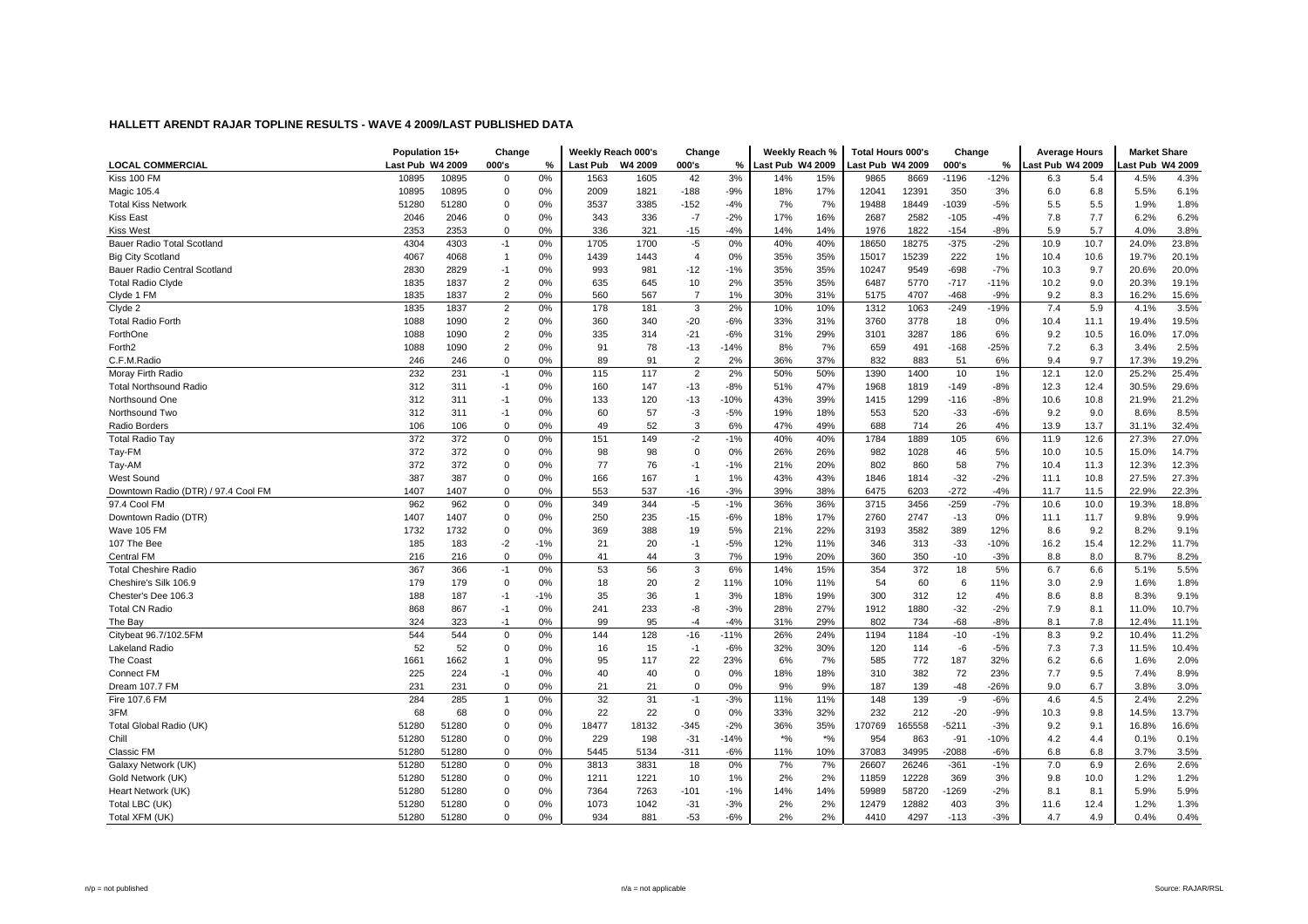|                                     | Population 15+   |       | Change         |       | Weekly Reach 000's |         | Change         |        | Weekly Reach %   |       | <b>Total Hours 000's</b> |        | Change  |        | <b>Average Hours</b> |      | <b>Market Share</b> |       |
|-------------------------------------|------------------|-------|----------------|-------|--------------------|---------|----------------|--------|------------------|-------|--------------------------|--------|---------|--------|----------------------|------|---------------------|-------|
| <b>LOCAL COMMERCIAL</b>             | Last Pub W4 2009 |       | 000's          | %     | <b>Last Pub</b>    | W4 2009 | 000's          | %      | Last Pub W4 2009 |       | Last Pub W4 2009         |        | 000's   | %      | ast Pub W4 2009      |      | ast Pub W4 2009     |       |
| Kiss 100 FM                         | 10895            | 10895 | 0              | 0%    | 1563               | 1605    | 42             | 3%     | 14%              | 15%   | 9865                     | 8669   | $-1196$ | $-12%$ | 6.3                  | 5.4  | 4.5%                | 4.3%  |
| Magic 105.4                         | 10895            | 10895 | 0              | 0%    | 2009               | 1821    | $-188$         | $-9%$  | 18%              | 17%   | 12041                    | 12391  | 350     | 3%     | 6.0                  | 6.8  | 5.5%                | 6.1%  |
| <b>Total Kiss Network</b>           | 51280            | 51280 | $\mathbf 0$    | 0%    | 3537               | 3385    | $-152$         | $-4%$  | 7%               | 7%    | 19488                    | 18449  | $-1039$ | $-5%$  | 5.5                  | 5.5  | 1.9%                | 1.8%  |
| <b>Kiss East</b>                    | 2046             | 2046  | $\mathbf 0$    | 0%    | 343                | 336     | $-7$           | $-2%$  | 17%              | 16%   | 2687                     | 2582   | $-105$  | $-4%$  | 7.8                  | 7.7  | 6.2%                | 6.2%  |
| <b>Kiss West</b>                    | 2353             | 2353  | $\Omega$       | 0%    | 336                | 321     | $-15$          | $-4%$  | 14%              | 14%   | 1976                     | 1822   | $-154$  | $-8%$  | 5.9                  | 5.7  | 4.0%                | 3.8%  |
| Bauer Radio Total Scotland          | 4304             | 4303  | $-1$           | 0%    | 1705               | 1700    | $-5$           | 0%     | 40%              | 40%   | 18650                    | 18275  | $-375$  | $-2%$  | 10.9                 | 10.7 | 24.0%               | 23.8% |
| <b>Big City Scotland</b>            | 4067             | 4068  | -1             | 0%    | 1439               | 1443    | $\overline{4}$ | 0%     | 35%              | 35%   | 15017                    | 15239  | 222     | 1%     | 10.4                 | 10.6 | 19.7%               | 20.1% |
| Bauer Radio Central Scotland        | 2830             | 2829  | $-1$           | 0%    | 993                | 981     | $-12$          | $-1%$  | 35%              | 35%   | 10247                    | 9549   | $-698$  | $-7%$  | 10.3                 | 9.7  | 20.6%               | 20.0% |
| <b>Total Radio Clyde</b>            | 1835             | 1837  | $\overline{2}$ | 0%    | 635                | 645     | 10             | 2%     | 35%              | 35%   | 6487                     | 5770   | $-717$  | $-11%$ | 10.2                 | 9.0  | 20.3%               | 19.1% |
| Clyde 1 FM                          | 1835             | 1837  | 2              | 0%    | 560                | 567     | $\overline{7}$ | 1%     | 30%              | 31%   | 5175                     | 4707   | $-468$  | $-9%$  | 9.2                  | 8.3  | 16.2%               | 15.6% |
| Clyde 2                             | 1835             | 1837  | $\overline{2}$ | 0%    | 178                | 181     | 3              | 2%     | 10%              | 10%   | 1312                     | 1063   | $-249$  | $-19%$ | 7.4                  | 5.9  | 4.1%                | 3.5%  |
| <b>Total Radio Forth</b>            | 1088             | 1090  | $\overline{2}$ | 0%    | 360                | 340     | $-20$          | $-6%$  | 33%              | 31%   | 3760                     | 3778   | 18      | 0%     | 10.4                 | 11.1 | 19.4%               | 19.5% |
| ForthOne                            | 1088             | 1090  | $\overline{2}$ | 0%    | 335                | 314     | $-21$          | $-6%$  | 31%              | 29%   | 3101                     | 3287   | 186     | 6%     | 9.2                  | 10.5 | 16.0%               | 17.0% |
| Forth <sub>2</sub>                  | 1088             | 1090  | $\overline{2}$ | 0%    | 91                 | 78      | $-13$          | $-14%$ | 8%               | 7%    | 659                      | 491    | $-168$  | $-25%$ | 7.2                  | 6.3  | 3.4%                | 2.5%  |
| C.F.M.Radio                         | 246              | 246   | $\mathbf 0$    | 0%    | 89                 | 91      | $\overline{2}$ | 2%     | 36%              | 37%   | 832                      | 883    | 51      | 6%     | 9.4                  | 9.7  | 17.3%               | 19.2% |
| Moray Firth Radio                   | 232              | 231   | $-1$           | 0%    | 115                | 117     | $\overline{2}$ | 2%     | 50%              | 50%   | 1390                     | 1400   | 10      | 1%     | 12.1                 | 12.0 | 25.2%               | 25.4% |
| <b>Total Northsound Radio</b>       | 312              | 311   | $-1$           | 0%    | 160                | 147     | $-13$          | $-8%$  | 51%              | 47%   | 1968                     | 1819   | $-149$  | $-8%$  | 12.3                 | 12.4 | 30.5%               | 29.6% |
| Northsound One                      | 312              | 311   | $-1$           | 0%    | 133                | 120     | $-13$          | $-10%$ | 43%              | 39%   | 1415                     | 1299   | $-116$  | $-8%$  | 10.6                 | 10.8 | 21.9%               | 21.2% |
| Northsound Two                      | 312              | 311   | $-1$           | 0%    | 60                 | 57      | $-3$           | $-5%$  | 19%              | 18%   | 553                      | 520    | $-33$   | $-6%$  | 9.2                  | 9.0  | 8.6%                | 8.5%  |
| Radio Borders                       | 106              | 106   | $\mathbf 0$    | 0%    | 49                 | 52      | 3              | 6%     | 47%              | 49%   | 688                      | 714    | 26      | 4%     | 13.9                 | 13.7 | 31.1%               | 32.4% |
| <b>Total Radio Tay</b>              | 372              | 372   | $\mathbf 0$    | 0%    | 151                | 149     | $-2$           | $-1%$  | 40%              | 40%   | 1784                     | 1889   | 105     | 6%     | 11.9                 | 12.6 | 27.3%               | 27.0% |
| Tay-FM                              | 372              | 372   | $\Omega$       | 0%    | 98                 | 98      | $\Omega$       | 0%     | 26%              | 26%   | 982                      | 1028   | 46      | 5%     | 10.0                 | 10.5 | 15.0%               | 14.7% |
| Tay-AM                              | 372              | 372   | $\mathbf 0$    | 0%    | 77                 | 76      | $-1$           | $-1%$  | 21%              | 20%   | 802                      | 860    | 58      | 7%     | 10.4                 | 11.3 | 12.3%               | 12.3% |
| West Sound                          | 387              | 387   | $\mathbf 0$    | 0%    | 166                | 167     | $\overline{1}$ | 1%     | 43%              | 43%   | 1846                     | 1814   | $-32$   | $-2%$  | 11.1                 | 10.8 | 27.5%               | 27.3% |
| Downtown Radio (DTR) / 97.4 Cool FM | 1407             | 1407  | $\Omega$       | 0%    | 553                | 537     | $-16$          | $-3%$  | 39%              | 38%   | 6475                     | 6203   | $-272$  | $-4%$  | 11.7                 | 11.5 | 22.9%               | 22.3% |
| 97.4 Cool FM                        | 962              | 962   | $\mathbf 0$    | 0%    | 349                | 344     | $-5$           | $-1%$  | 36%              | 36%   | 3715                     | 3456   | $-259$  | $-7%$  | 10.6                 | 10.0 | 19.3%               | 18.8% |
| Downtown Radio (DTR)                | 1407             | 1407  | $\Omega$       | 0%    | 250                | 235     | $-15$          | $-6%$  | 18%              | 17%   | 2760                     | 2747   | $-13$   | 0%     | 11.1                 | 11.7 | 9.8%                | 9.9%  |
| Wave 105 FM                         | 1732             | 1732  | $\mathbf 0$    | 0%    | 369                | 388     | 19             | 5%     | 21%              | 22%   | 3193                     | 3582   | 389     | 12%    | 8.6                  | 9.2  | 8.2%                | 9.1%  |
| 107 The Bee                         | 185              | 183   | $-2$           | $-1%$ | 21                 | 20      | $-1$           | $-5%$  | 12%              | 11%   | 346                      | 313    | $-33$   | $-10%$ | 16.2                 | 15.4 | 12.2%               | 11.7% |
| <b>Central FM</b>                   | 216              | 216   | $\Omega$       | 0%    | 41                 | 44      | 3              | 7%     | 19%              | 20%   | 360                      | 350    | $-10$   | $-3%$  | 8.8                  | 8.0  | 8.7%                | 8.2%  |
| <b>Total Cheshire Radio</b>         | 367              | 366   | $-1$           | 0%    | 53                 | 56      | 3              | 6%     | 14%              | 15%   | 354                      | 372    | 18      | 5%     | 6.7                  | 6.6  | 5.1%                | 5.5%  |
| Cheshire's Silk 106.9               | 179              | 179   | 0              | 0%    | 18                 | 20      | $\overline{2}$ | 11%    | 10%              | 11%   | 54                       | 60     | 6       | 11%    | 3.0                  | 2.9  | 1.6%                | 1.8%  |
| Chester's Dee 106.3                 | 188              | 187   | $-1$           | $-1%$ | 35                 | 36      | $\overline{1}$ | 3%     | 18%              | 19%   | 300                      | 312    | 12      | 4%     | 8.6                  | 8.8  | 8.3%                | 9.1%  |
| <b>Total CN Radio</b>               | 868              | 867   | $-1$           | 0%    | 241                | 233     | -8             | $-3%$  | 28%              | 27%   | 1912                     | 1880   | $-32$   | $-2%$  | 7.9                  | 8.1  | 11.0%               | 10.7% |
| The Bay                             | 324              | 323   | $-1$           | 0%    | 99                 | 95      | $-4$           | $-4%$  | 31%              | 29%   | 802                      | 734    | $-68$   | $-8%$  | 8.1                  | 7.8  | 12.4%               | 11.1% |
| Citybeat 96.7/102.5FM               | 544              | 544   | $\mathbf 0$    | 0%    | 144                | 128     | $-16$          | $-11%$ | 26%              | 24%   | 1194                     | 1184   | $-10$   | $-1%$  | 8.3                  | 9.2  | 10.4%               | 11.2% |
| Lakeland Radio                      | 52               | 52    | $\mathbf 0$    | 0%    | 16                 | 15      | $-1$           | $-6%$  | 32%              | 30%   | 120                      | 114    | -6      | $-5%$  | 7.3                  | 7.3  | 11.5%               | 10.4% |
| The Coast                           | 1661             | 1662  | -1             | 0%    | 95                 | 117     | 22             | 23%    | 6%               | 7%    | 585                      | 772    | 187     | 32%    | 6.2                  | 6.6  | 1.6%                | 2.0%  |
| <b>Connect FM</b>                   | 225              | 224   | $-1$           | 0%    | 40                 | 40      | $\mathbf 0$    | 0%     | 18%              | 18%   | 310                      | 382    | 72      | 23%    | 7.7                  | 9.5  | 7.4%                | 8.9%  |
| Dream 107.7 FM                      | 231              | 231   | $\mathbf 0$    | 0%    | 21                 | 21      | $\mathbf 0$    | 0%     | 9%               | 9%    | 187                      | 139    | $-48$   | $-26%$ | 9.0                  | 6.7  | 3.8%                | 3.0%  |
| Fire 107.6 FM                       | 284              | 285   | -1             | 0%    | 32                 | 31      | $-1$           | $-3%$  | 11%              | 11%   | 148                      | 139    | -9      | $-6%$  | 4.6                  | 4.5  | 2.4%                | 2.2%  |
| 3FM                                 | 68               | 68    | $\mathbf 0$    | 0%    | 22                 | 22      | $\Omega$       | 0%     | 33%              | 32%   | 232                      | 212    | $-20$   | $-9%$  | 10.3                 | 9.8  | 14.5%               | 13.7% |
| Total Global Radio (UK)             | 51280            | 51280 | $\mathbf 0$    | 0%    | 18477              | 18132   | $-345$         | $-2%$  | 36%              | 35%   | 170769                   | 165558 | $-5211$ | $-3%$  | 9.2                  | 9.1  | 16.8%               | 16.6% |
| Chill                               | 51280            | 51280 | $\Omega$       | 0%    | 229                | 198     | $-31$          | $-14%$ | $*9/6$           | $*$ % | 954                      | 863    | $-91$   | $-10%$ | 4.2                  | 4.4  | 0.1%                | 0.1%  |
| Classic FM                          | 51280            | 51280 | $\Omega$       | 0%    | 5445               | 5134    | $-311$         | $-6%$  | 11%              | 10%   | 37083                    | 34995  | $-2088$ | $-6%$  | 6.8                  | 6.8  | 3.7%                | 3.5%  |
| Galaxy Network (UK)                 | 51280            | 51280 | $\mathbf 0$    | 0%    | 3813               | 3831    | 18             | 0%     | 7%               | 7%    | 26607                    | 26246  | $-361$  | $-1%$  | 7.0                  | 6.9  | 2.6%                | 2.6%  |
| Gold Network (UK)                   | 51280            | 51280 | $\mathbf 0$    | 0%    | 1211               | 1221    | 10             | 1%     | 2%               | 2%    | 11859                    | 12228  | 369     | 3%     | 9.8                  | 10.0 | 1.2%                | 1.2%  |
| Heart Network (UK)                  | 51280            | 51280 | $\mathbf 0$    | 0%    | 7364               | 7263    | $-101$         | $-1%$  | 14%              | 14%   | 59989                    | 58720  | $-1269$ | $-2%$  | 8.1                  | 8.1  | 5.9%                | 5.9%  |
| Total LBC (UK)                      | 51280            | 51280 | $\Omega$       | 0%    | 1073               | 1042    | $-31$          | $-3%$  | 2%               | 2%    | 12479                    | 12882  | 403     | 3%     | 11.6                 | 12.4 | 1.2%                | 1.3%  |
| Total XFM (UK)                      | 51280            | 51280 | $\Omega$       | 0%    | 934                | 881     | $-53$          | $-6%$  | 2%               | 2%    | 4410                     | 4297   | $-113$  | $-3%$  | 4.7                  | 4.9  | 0.4%                | 0.4%  |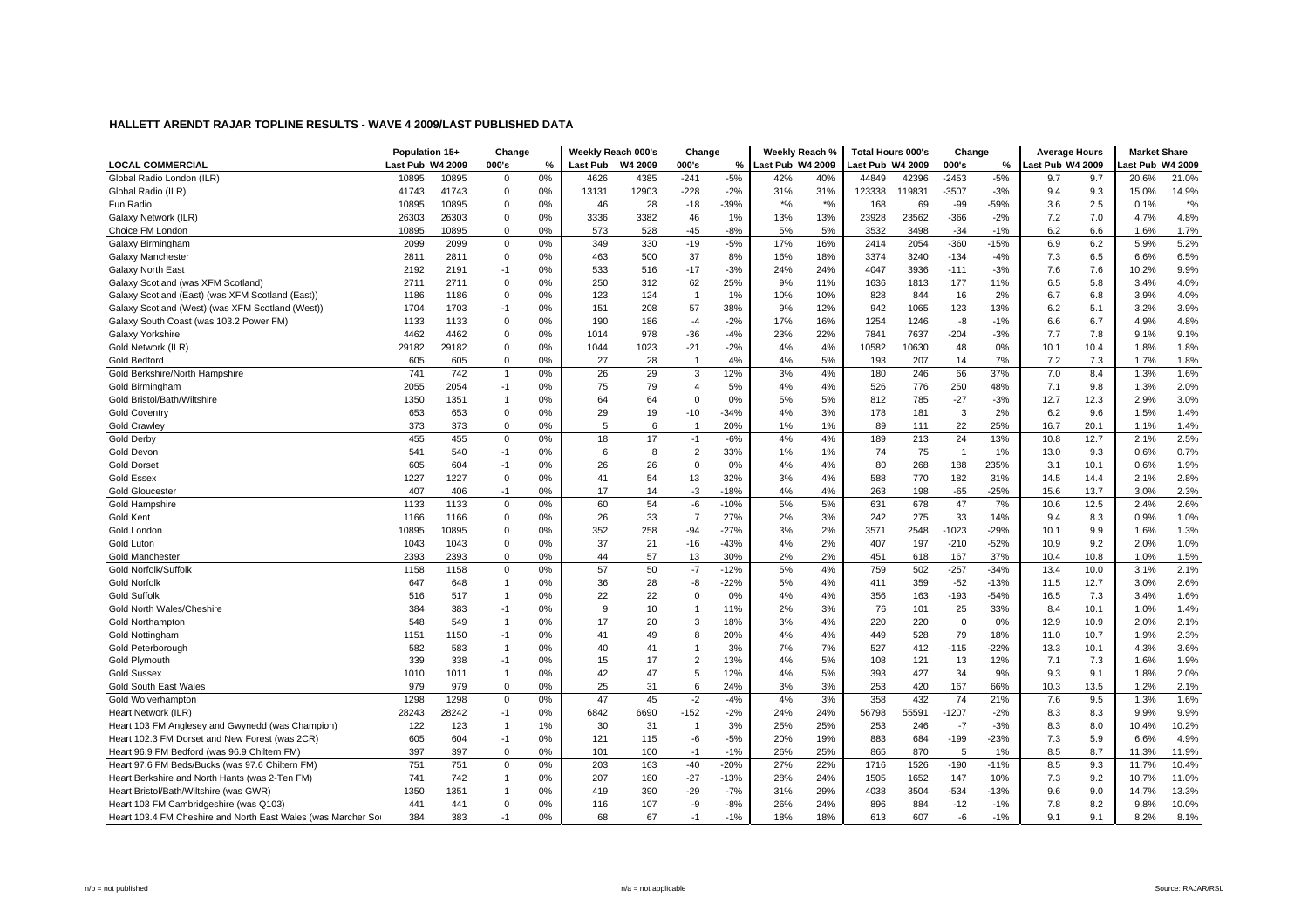|                                                               | Population 15+   |       | Change         |    | Weekly Reach 000's |         | Change         |        | Weekly Reach %   |       | <b>Total Hours 000's</b> |        | Change         |        | <b>Average Hours</b> |      | <b>Market Share</b> |           |
|---------------------------------------------------------------|------------------|-------|----------------|----|--------------------|---------|----------------|--------|------------------|-------|--------------------------|--------|----------------|--------|----------------------|------|---------------------|-----------|
| <b>LOCAL COMMERCIAL</b>                                       | Last Pub W4 2009 |       | 000's          | %  | Last Pub           | W4 2009 | 000's          | %      | Last Pub W4 2009 |       | ast Pub W4 2009          |        | 000's          | %      | ast Pub W4 2009      |      | ast Pub W4 2009     |           |
| Global Radio London (ILR)                                     | 10895            | 10895 | $\mathbf 0$    | 0% | 4626               | 4385    | $-241$         | $-5%$  | 42%              | 40%   | 44849                    | 42396  | $-2453$        | $-5%$  | 9.7                  | 9.7  | 20.6%               | 21.0%     |
| Global Radio (ILR)                                            | 41743            | 41743 | 0              | 0% | 13131              | 12903   | $-228$         | $-2%$  | 31%              | 31%   | 123338                   | 119831 | $-3507$        | $-3%$  | 9.4                  | 9.3  | 15.0%               | 14.9%     |
| Fun Radio                                                     | 10895            | 10895 | 0              | 0% | 46                 | 28      | $-18$          | $-39%$ | $*$ %            | $*$ % | 168                      | 69     | $-99$          | $-59%$ | 3.6                  | 2.5  | 0.1%                | $\star$ % |
| Galaxy Network (ILR)                                          | 26303            | 26303 | $\Omega$       | 0% | 3336               | 3382    | 46             | 1%     | 13%              | 13%   | 23928                    | 23562  | $-366$         | $-2%$  | 7.2                  | 7.0  | 4.7%                | 4.8%      |
| Choice FM London                                              | 10895            | 10895 | $\Omega$       | 0% | 573                | 528     | $-45$          | $-8%$  | 5%               | 5%    | 3532                     | 3498   | $-34$          | $-1%$  | 6.2                  | 6.6  | 1.6%                | 1.7%      |
| Galaxy Birmingham                                             | 2099             | 2099  | $\mathbf 0$    | 0% | 349                | 330     | $-19$          | $-5%$  | 17%              | 16%   | 2414                     | 2054   | $-360$         | $-15%$ | 6.9                  | 6.2  | 5.9%                | 5.2%      |
| Galaxy Manchester                                             | 2811             | 2811  | $\mathbf 0$    | 0% | 463                | 500     | 37             | 8%     | 16%              | 18%   | 3374                     | 3240   | $-134$         | $-4%$  | 7.3                  | 6.5  | 6.6%                | 6.5%      |
| <b>Galaxy North East</b>                                      | 2192             | 2191  | $-1$           | 0% | 533                | 516     | $-17$          | $-3%$  | 24%              | 24%   | 4047                     | 3936   | $-111$         | $-3%$  | 7.6                  | 7.6  | 10.2%               | 9.9%      |
| Galaxy Scotland (was XFM Scotland)                            | 2711             | 2711  | 0              | 0% | 250                | 312     | 62             | 25%    | 9%               | 11%   | 1636                     | 1813   | 177            | 11%    | 6.5                  | 5.8  | 3.4%                | 4.0%      |
| Galaxy Scotland (East) (was XFM Scotland (East))              | 1186             | 1186  | $\mathbf 0$    | 0% | 123                | 124     | $\overline{1}$ | 1%     | 10%              | 10%   | 828                      | 844    | 16             | 2%     | 6.7                  | 6.8  | 3.9%                | 4.0%      |
| Galaxy Scotland (West) (was XFM Scotland (West))              | 1704             | 1703  | -1             | 0% | 151                | 208     | 57             | 38%    | 9%               | 12%   | 942                      | 1065   | 123            | 13%    | 6.2                  | 5.1  | 3.2%                | 3.9%      |
| Galaxy South Coast (was 103.2 Power FM)                       | 1133             | 1133  | $\Omega$       | 0% | 190                | 186     | $-4$           | $-2%$  | 17%              | 16%   | 1254                     | 1246   | -8             | $-1%$  | 6.6                  | 6.7  | 4.9%                | 4.8%      |
| Galaxy Yorkshire                                              | 4462             | 4462  | $\mathbf 0$    | 0% | 1014               | 978     | $-36$          | $-4%$  | 23%              | 22%   | 7841                     | 7637   | $-204$         | $-3%$  | 7.7                  | 7.8  | 9.1%                | 9.1%      |
| Gold Network (ILR)                                            | 29182            | 29182 | $\Omega$       | 0% | 1044               | 1023    | $-21$          | $-2%$  | 4%               | 4%    | 10582                    | 10630  | 48             | 0%     | 10.1                 | 10.4 | 1.8%                | 1.8%      |
| Gold Bedford                                                  | 605              | 605   | $\Omega$       | 0% | 27                 | 28      | $\overline{1}$ | 4%     | 4%               | 5%    | 193                      | 207    | 14             | 7%     | 7.2                  | 7.3  | 1.7%                | 1.8%      |
| Gold Berkshire/North Hampshire                                | 741              | 742   | $\overline{1}$ | 0% | 26                 | 29      | 3              | 12%    | 3%               | 4%    | 180                      | 246    | 66             | 37%    | 7.0                  | 8.4  | 1.3%                | 1.6%      |
| Gold Birmingham                                               | 2055             | 2054  | $-1$           | 0% | 75                 | 79      | 4              | 5%     | 4%               | 4%    | 526                      | 776    | 250            | 48%    | 7.1                  | 9.8  | 1.3%                | 2.0%      |
| Gold Bristol/Bath/Wiltshire                                   | 1350             | 1351  | $\overline{1}$ | 0% | 64                 | 64      | $\mathbf 0$    | 0%     | 5%               | 5%    | 812                      | 785    | $-27$          | $-3%$  | 12.7                 | 12.3 | 2.9%                | 3.0%      |
| <b>Gold Coventry</b>                                          | 653              | 653   | $\mathbf 0$    | 0% | 29                 | 19      | $-10$          | $-34%$ | 4%               | 3%    | 178                      | 181    | 3              | 2%     | 6.2                  | 9.6  | 1.5%                | 1.4%      |
| <b>Gold Crawley</b>                                           | 373              | 373   | $\mathbf 0$    | 0% | 5                  | 6       | $\overline{1}$ | 20%    | 1%               | 1%    | 89                       | 111    | 22             | 25%    | 16.7                 | 20.1 | 1.1%                | 1.4%      |
| Gold Derby                                                    | 455              | 455   | $\mathbf 0$    | 0% | 18                 | 17      | $-1$           | $-6%$  | 4%               | 4%    | 189                      | 213    | 24             | 13%    | 10.8                 | 12.7 | 2.1%                | 2.5%      |
| Gold Devon                                                    | 541              | 540   | $-1$           | 0% | 6                  | 8       | $\overline{2}$ | 33%    | 1%               | 1%    | 74                       | 75     | $\overline{1}$ | 1%     | 13.0                 | 9.3  | 0.6%                | 0.7%      |
| <b>Gold Dorset</b>                                            | 605              | 604   | $-1$           | 0% | 26                 | 26      | $\Omega$       | 0%     | 4%               | 4%    | 80                       | 268    | 188            | 235%   | 3.1                  | 10.1 | 0.6%                | 1.9%      |
| Gold Essex                                                    | 1227             | 1227  | $\mathbf 0$    | 0% | 41                 | 54      | 13             | 32%    | 3%               | 4%    | 588                      | 770    | 182            | 31%    | 14.5                 | 14.4 | 2.1%                | 2.8%      |
| <b>Gold Gloucester</b>                                        | 407              | 406   | $-1$           | 0% | 17                 | 14      | $-3$           | $-18%$ | 4%               | 4%    | 263                      | 198    | $-65$          | $-25%$ | 15.6                 | 13.7 | 3.0%                | 2.3%      |
| Gold Hampshire                                                | 1133             | 1133  | $\mathbf 0$    | 0% | 60                 | 54      | -6             | $-10%$ | 5%               | 5%    | 631                      | 678    | 47             | 7%     | 10.6                 | 12.5 | 2.4%                | 2.6%      |
| <b>Gold Kent</b>                                              | 1166             | 1166  | $\mathbf 0$    | 0% | 26                 | 33      | $\overline{7}$ | 27%    | 2%               | 3%    | 242                      | 275    | 33             | 14%    | 9.4                  | 8.3  | 0.9%                | 1.0%      |
| Gold London                                                   | 10895            | 10895 | $\Omega$       | 0% | 352                | 258     | $-94$          | $-27%$ | 3%               | 2%    | 3571                     | 2548   | $-1023$        | $-29%$ | 10.1                 | 9.9  | 1.6%                | 1.3%      |
| Gold Luton                                                    | 1043             | 1043  | $\mathbf 0$    | 0% | 37                 | 21      | $-16$          | $-43%$ | 4%               | 2%    | 407                      | 197    | $-210$         | $-52%$ | 10.9                 | 9.2  | 2.0%                | 1.0%      |
| <b>Gold Manchester</b>                                        | 2393             | 2393  | $\Omega$       | 0% | 44                 | 57      | 13             | 30%    | 2%               | 2%    | 451                      | 618    | 167            | 37%    | 10.4                 | 10.8 | 1.0%                | 1.5%      |
| Gold Norfolk/Suffolk                                          | 1158             | 1158  | $\mathbf 0$    | 0% | 57                 | 50      | $-7$           | $-12%$ | 5%               | 4%    | 759                      | 502    | $-257$         | $-34%$ | 13.4                 | 10.0 | 3.1%                | 2.1%      |
| <b>Gold Norfolk</b>                                           | 647              | 648   | -1             | 0% | 36                 | 28      | -8             | $-22%$ | 5%               | 4%    | 411                      | 359    | $-52$          | $-13%$ | 11.5                 | 12.7 | 3.0%                | 2.6%      |
| <b>Gold Suffolk</b>                                           | 516              | 517   | $\overline{1}$ | 0% | 22                 | 22      | $\mathbf 0$    | 0%     | 4%               | 4%    | 356                      | 163    | $-193$         | $-54%$ | 16.5                 | 7.3  | 3.4%                | 1.6%      |
| Gold North Wales/Cheshire                                     | 384              | 383   | $-1$           | 0% | 9                  | 10      | -1             | 11%    | 2%               | 3%    | 76                       | 101    | 25             | 33%    | 8.4                  | 10.1 | 1.0%                | 1.4%      |
| <b>Gold Northampton</b>                                       | 548              | 549   | $\overline{1}$ | 0% | 17                 | 20      | 3              | 18%    | 3%               | 4%    | 220                      | 220    | $\mathbf 0$    | 0%     | 12.9                 | 10.9 | 2.0%                | 2.1%      |
| <b>Gold Nottingham</b>                                        | 1151             | 1150  | $-1$           | 0% | 41                 | 49      | 8              | 20%    | 4%               | 4%    | 449                      | 528    | 79             | 18%    | 11.0                 | 10.7 | 1.9%                | 2.3%      |
| Gold Peterborough                                             | 582              | 583   | $\overline{1}$ | 0% | 40                 | 41      | $\mathbf 1$    | 3%     | 7%               | 7%    | 527                      | 412    | $-115$         | $-22%$ | 13.3                 | 10.1 | 4.3%                | 3.6%      |
| <b>Gold Plymouth</b>                                          | 339              | 338   | $-1$           | 0% | 15                 | 17      | $\overline{2}$ | 13%    | 4%               | 5%    | 108                      | 121    | 13             | 12%    | 7.1                  | 7.3  | 1.6%                | 1.9%      |
| <b>Gold Sussex</b>                                            | 1010             | 1011  | -1             | 0% | 42                 | 47      | 5              | 12%    | 4%               | 5%    | 393                      | 427    | 34             | 9%     | 9.3                  | 9.1  | 1.8%                | 2.0%      |
| <b>Gold South East Wales</b>                                  | 979              | 979   | $\mathbf 0$    | 0% | 25                 | 31      | 6              | 24%    | 3%               | 3%    | 253                      | 420    | 167            | 66%    | 10.3                 | 13.5 | 1.2%                | 2.1%      |
| Gold Wolverhampton                                            | 1298             | 1298  | $\mathbf 0$    | 0% | 47                 | 45      | $-2$           | $-4%$  | 4%               | 3%    | 358                      | 432    | 74             | 21%    | 7.6                  | 9.5  | 1.3%                | 1.6%      |
| Heart Network (ILR)                                           | 28243            | 28242 | $-1$           | 0% | 6842               | 6690    | $-152$         | $-2%$  | 24%              | 24%   | 56798                    | 55591  | $-1207$        | $-2%$  | 8.3                  | 8.3  | 9.9%                | 9.9%      |
| Heart 103 FM Anglesey and Gwynedd (was Champion)              | 122              | 123   | $\overline{1}$ | 1% | 30                 | 31      | $\overline{1}$ | 3%     | 25%              | 25%   | 253                      | 246    | $-7$           | $-3%$  | 8.3                  | 8.0  | 10.4%               | 10.2%     |
| Heart 102.3 FM Dorset and New Forest (was 2CR)                | 605              | 604   | $-1$           | 0% | 121                | 115     | -6             | $-5%$  | 20%              | 19%   | 883                      | 684    | $-199$         | $-23%$ | 7.3                  | 5.9  | 6.6%                | 4.9%      |
| Heart 96.9 FM Bedford (was 96.9 Chiltern FM)                  | 397              | 397   | $\Omega$       | 0% | 101                | 100     | $-1$           | $-1%$  | 26%              | 25%   | 865                      | 870    | 5              | 1%     | 8.5                  | 8.7  | 11.3%               | 11.9%     |
| Heart 97.6 FM Beds/Bucks (was 97.6 Chiltern FM)               | 751              | 751   | $\mathbf 0$    | 0% | 203                | 163     | $-40$          | $-20%$ | 27%              | 22%   | 1716                     | 1526   | $-190$         | $-11%$ | 8.5                  | 9.3  | 11.7%               | 10.4%     |
| Heart Berkshire and North Hants (was 2-Ten FM)                | 741              | 742   | $\mathbf{1}$   | 0% | 207                | 180     | $-27$          | $-13%$ | 28%              | 24%   | 1505                     | 1652   | 147            | 10%    | 7.3                  | 9.2  | 10.7%               | 11.0%     |
| Heart Bristol/Bath/Wiltshire (was GWR)                        | 1350             | 1351  |                | 0% | 419                | 390     | $-29$          | $-7%$  | 31%              | 29%   | 4038                     | 3504   | $-534$         | $-13%$ | 9.6                  | 9.0  | 14.7%               | 13.3%     |
| Heart 103 FM Cambridgeshire (was Q103)                        | 441              | 441   | $\Omega$       | 0% | 116                | 107     | -9             | $-8%$  | 26%              | 24%   | 896                      | 884    | $-12$          | $-1%$  | 7.8                  | 8.2  | 9.8%                | 10.0%     |
| Heart 103.4 FM Cheshire and North East Wales (was Marcher Sor | 384              | 383   | $-1$           | 0% | 68                 | 67      | $-1$           | $-1%$  | 18%              | 18%   | 613                      | 607    | -6             | $-1%$  | 9.1                  | 9.1  | 8.2%                | 8.1%      |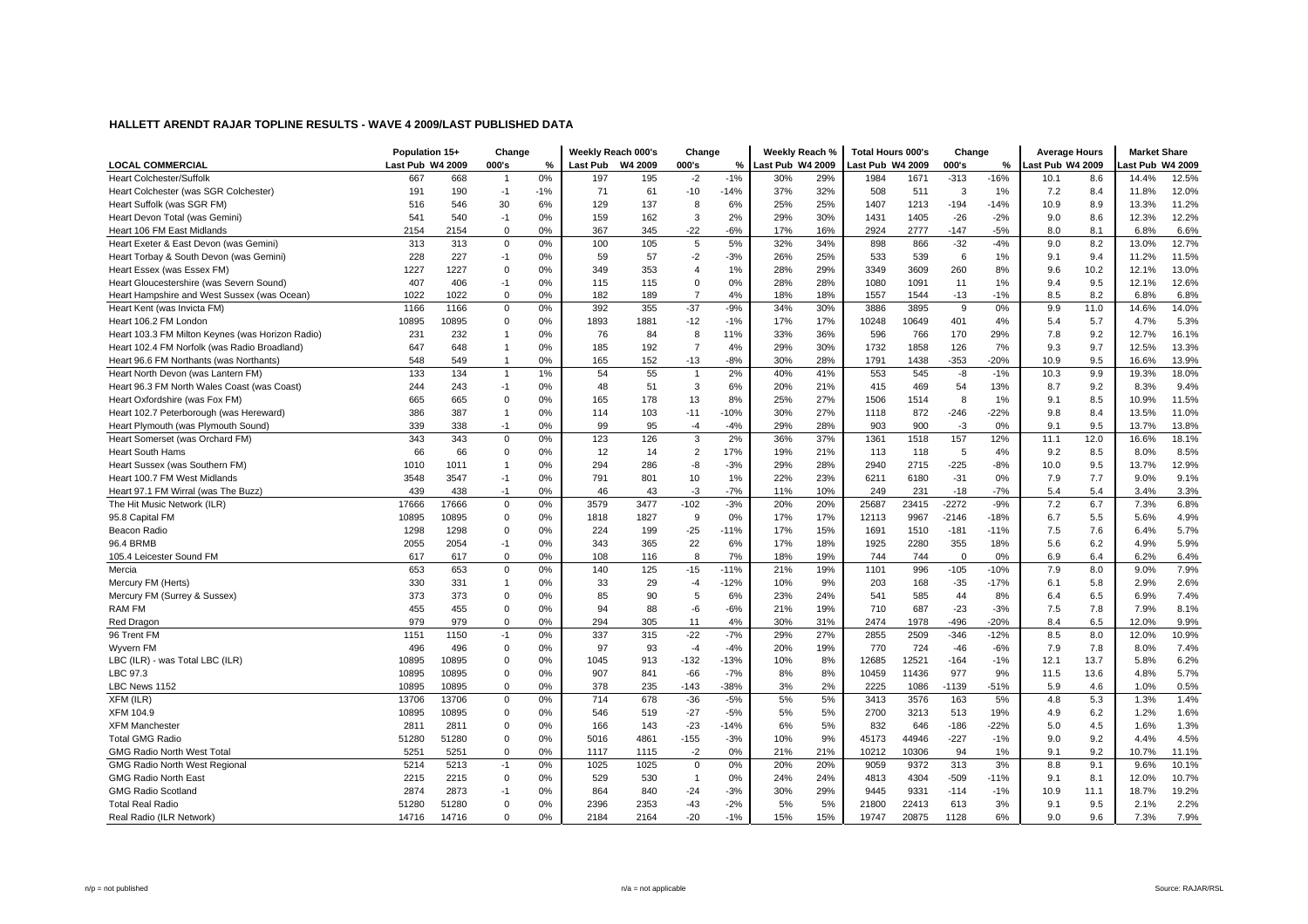|                                                  | Population 15+   |       | Change         |       | Weekly Reach 000's |      | Change         |        | Weekly Reach %   |     | <b>Total Hours 000's</b> |       | Change      |        | <b>Average Hours</b> |      | <b>Market Share</b> |       |
|--------------------------------------------------|------------------|-------|----------------|-------|--------------------|------|----------------|--------|------------------|-----|--------------------------|-------|-------------|--------|----------------------|------|---------------------|-------|
| <b>LOCAL COMMERCIAL</b>                          | Last Pub W4 2009 |       | 000's          | %     | Last Pub W4 2009   |      | 000's          | %      | Last Pub W4 2009 |     | Last Pub W4 2009         |       | 000's       | %      | ast Pub W4 2009      |      | ast Pub W4 2009     |       |
| <b>Heart Colchester/Suffolk</b>                  | 667              | 668   | $\overline{1}$ | 0%    | 197                | 195  | $-2$           | $-1%$  | 30%              | 29% | 1984                     | 1671  | $-313$      | $-16%$ | 10.1                 | 8.6  | 14.4%               | 12.5% |
| Heart Colchester (was SGR Colchester)            | 191              | 190   | $-1$           | $-1%$ | 71                 | 61   | $-10$          | $-14%$ | 37%              | 32% | 508                      | 511   | 3           | 1%     | 7.2                  | 8.4  | 11.8%               | 12.0% |
| Heart Suffolk (was SGR FM)                       | 516              | 546   | 30             | 6%    | 129                | 137  | 8              | 6%     | 25%              | 25% | 1407                     | 1213  | $-194$      | $-14%$ | 10.9                 | 8.9  | 13.3%               | 11.2% |
| Heart Devon Total (was Gemini)                   | 541              | 540   | $-1$           | 0%    | 159                | 162  | 3              | 2%     | 29%              | 30% | 1431                     | 1405  | $-26$       | $-2%$  | 9.0                  | 8.6  | 12.3%               | 12.2% |
| Heart 106 FM East Midlands                       | 2154             | 2154  | $\mathbf 0$    | 0%    | 367                | 345  | $-22$          | $-6%$  | 17%              | 16% | 2924                     | 2777  | $-147$      | $-5%$  | 8.0                  | 8.1  | 6.8%                | 6.6%  |
| Heart Exeter & East Devon (was Gemini)           | 313              | 313   | $\mathbf 0$    | 0%    | 100                | 105  | 5              | 5%     | 32%              | 34% | 898                      | 866   | $-32$       | $-4%$  | 9.0                  | 8.2  | 13.0%               | 12.7% |
| Heart Torbay & South Devon (was Gemini)          | 228              | 227   | $-1$           | 0%    | 59                 | 57   | $-2$           | $-3%$  | 26%              | 25% | 533                      | 539   | 6           | 1%     | 9.1                  | 9.4  | 11.2%               | 11.5% |
| Heart Essex (was Essex FM)                       | 1227             | 1227  | $\mathbf 0$    | 0%    | 349                | 353  | $\overline{4}$ | 1%     | 28%              | 29% | 3349                     | 3609  | 260         | 8%     | 9.6                  | 10.2 | 12.1%               | 13.0% |
| Heart Gloucestershire (was Severn Sound)         | 407              | 406   | $-1$           | 0%    | 115                | 115  | 0              | 0%     | 28%              | 28% | 1080                     | 1091  | 11          | 1%     | 9.4                  | 9.5  | 12.1%               | 12.6% |
| Heart Hampshire and West Sussex (was Ocean)      | 1022             | 1022  | $\mathbf 0$    | 0%    | 182                | 189  | $\overline{7}$ | 4%     | 18%              | 18% | 1557                     | 1544  | $-13$       | $-1%$  | 8.5                  | 8.2  | 6.8%                | 6.8%  |
| Heart Kent (was Invicta FM)                      | 1166             | 1166  | $\mathbf 0$    | 0%    | 392                | 355  | $-37$          | $-9%$  | 34%              | 30% | 3886                     | 3895  | 9           | 0%     | 9.9                  | 11.0 | 14.6%               | 14.0% |
| Heart 106.2 FM London                            | 10895            | 10895 | $\mathbf 0$    | 0%    | 1893               | 1881 | $-12$          | $-1%$  | 17%              | 17% | 10248                    | 10649 | 401         | 4%     | 5.4                  | 5.7  | 4.7%                | 5.3%  |
| Heart 103.3 FM Milton Keynes (was Horizon Radio) | 231              | 232   | $\overline{1}$ | 0%    | 76                 | 84   | 8              | 11%    | 33%              | 36% | 596                      | 766   | 170         | 29%    | 7.8                  | 9.2  | 12.7%               | 16.1% |
| Heart 102.4 FM Norfolk (was Radio Broadland)     | 647              | 648   | $\overline{1}$ | 0%    | 185                | 192  | $\overline{7}$ | 4%     | 29%              | 30% | 1732                     | 1858  | 126         | 7%     | 9.3                  | 9.7  | 12.5%               | 13.3% |
| Heart 96.6 FM Northants (was Northants)          | 548              | 549   | $\overline{1}$ | 0%    | 165                | 152  | $-13$          | $-8%$  | 30%              | 28% | 1791                     | 1438  | $-353$      | $-20%$ | 10.9                 | 9.5  | 16.6%               | 13.9% |
| Heart North Devon (was Lantern FM)               | 133              | 134   | $\overline{1}$ | 1%    | 54                 | 55   | $\overline{1}$ | 2%     | 40%              | 41% | 553                      | 545   | -8          | $-1%$  | 10.3                 | 9.9  | 19.3%               | 18.0% |
| Heart 96.3 FM North Wales Coast (was Coast)      | 244              | 243   | $-1$           | 0%    | 48                 | 51   | 3              | 6%     | 20%              | 21% | 415                      | 469   | 54          | 13%    | 8.7                  | 9.2  | 8.3%                | 9.4%  |
| Heart Oxfordshire (was Fox FM)                   | 665              | 665   | $\mathbf 0$    | 0%    | 165                | 178  | 13             | 8%     | 25%              | 27% | 1506                     | 1514  | 8           | 1%     | 9.1                  | 8.5  | 10.9%               | 11.5% |
| Heart 102.7 Peterborough (was Hereward)          | 386              | 387   | $\overline{1}$ | 0%    | 114                | 103  | $-11$          | $-10%$ | 30%              | 27% | 1118                     | 872   | $-246$      | $-22%$ | 9.8                  | 8.4  | 13.5%               | 11.0% |
| Heart Plymouth (was Plymouth Sound)              | 339              | 338   | $-1$           | 0%    | 99                 | 95   | $-4$           | $-4%$  | 29%              | 28% | 903                      | 900   | $-3$        | 0%     | 9.1                  | 9.5  | 13.7%               | 13.8% |
| Heart Somerset (was Orchard FM)                  | 343              | 343   | $\mathbf 0$    | 0%    | 123                | 126  | $\mathsf 3$    | 2%     | 36%              | 37% | 1361                     | 1518  | 157         | 12%    | 11.1                 | 12.0 | 16.6%               | 18.1% |
| <b>Heart South Hams</b>                          | 66               | 66    | $\mathbf 0$    | 0%    | 12                 | 14   | $\overline{2}$ | 17%    | 19%              | 21% | 113                      | 118   | 5           | 4%     | 9.2                  | 8.5  | 8.0%                | 8.5%  |
| Heart Sussex (was Southern FM)                   | 1010             | 1011  |                | 0%    | 294                | 286  | -8             | $-3%$  | 29%              | 28% | 2940                     | 2715  | $-225$      | $-8%$  | 10.0                 | 9.5  | 13.7%               | 12.9% |
| Heart 100.7 FM West Midlands                     | 3548             | 3547  | $-1$           | 0%    | 791                | 801  | 10             | 1%     | 22%              | 23% | 6211                     | 6180  | $-31$       | 0%     | 7.9                  | 7.7  | 9.0%                | 9.1%  |
| Heart 97.1 FM Wirral (was The Buzz)              | 439              | 438   | $-1$           | 0%    | 46                 | 43   | $-3$           | $-7%$  | 11%              | 10% | 249                      | 231   | $-18$       | $-7%$  | 5.4                  | 5.4  | 3.4%                | 3.3%  |
| The Hit Music Network (ILR)                      | 17666            | 17666 | $\mathbf 0$    | 0%    | 3579               | 3477 | $-102$         | $-3%$  | 20%              | 20% | 25687                    | 23415 | $-2272$     | $-9%$  | 7.2                  | 6.7  | 7.3%                | 6.8%  |
| 95.8 Capital FM                                  | 10895            | 10895 | $\mathbf 0$    | 0%    | 1818               | 1827 | 9              | 0%     | 17%              | 17% | 12113                    | 9967  | $-2146$     | $-18%$ | 6.7                  | 5.5  | 5.6%                | 4.9%  |
| Beacon Radio                                     | 1298             | 1298  | $\mathbf 0$    | 0%    | 224                | 199  | $-25$          | $-11%$ | 17%              | 15% | 1691                     | 1510  | $-181$      | $-11%$ | 7.5                  | 7.6  | 6.4%                | 5.7%  |
| 96.4 BRMB                                        | 2055             | 2054  | $-1$           | 0%    | 343                | 365  | 22             | 6%     | 17%              | 18% | 1925                     | 2280  | 355         | 18%    | 5.6                  | 6.2  | 4.9%                | 5.9%  |
| 105.4 Leicester Sound FM                         | 617              | 617   | $\mathbf 0$    | 0%    | 108                | 116  | 8              | 7%     | 18%              | 19% | 744                      | 744   | $\mathbf 0$ | 0%     | 6.9                  | 6.4  | 6.2%                | 6.4%  |
| Mercia                                           | 653              | 653   | $\mathbf 0$    | 0%    | 140                | 125  | $-15$          | $-11%$ | 21%              | 19% | 1101                     | 996   | $-105$      | $-10%$ | 7.9                  | 8.0  | 9.0%                | 7.9%  |
| Mercury FM (Herts)                               | 330              | 331   | $\overline{1}$ | 0%    | 33                 | 29   | $-4$           | $-12%$ | 10%              | 9%  | 203                      | 168   | $-35$       | $-17%$ | 6.1                  | 5.8  | 2.9%                | 2.6%  |
| Mercury FM (Surrey & Sussex)                     | 373              | 373   | $\mathbf 0$    | 0%    | 85                 | 90   | 5              | 6%     | 23%              | 24% | 541                      | 585   | 44          | 8%     | 6.4                  | 6.5  | 6.9%                | 7.4%  |
| <b>RAM FM</b>                                    | 455              | 455   | 0              | 0%    | 94                 | 88   | -6             | $-6%$  | 21%              | 19% | 710                      | 687   | $-23$       | $-3%$  | 7.5                  | 7.8  | 7.9%                | 8.1%  |
| Red Dragon                                       | 979              | 979   | $\mathbf 0$    | 0%    | 294                | 305  | 11             | 4%     | 30%              | 31% | 2474                     | 1978  | $-496$      | $-20%$ | 8.4                  | 6.5  | 12.0%               | 9.9%  |
| 96 Trent FM                                      | 1151             | 1150  | $-1$           | 0%    | 337                | 315  | $-22$          | $-7%$  | 29%              | 27% | 2855                     | 2509  | $-346$      | $-12%$ | 8.5                  | 8.0  | 12.0%               | 10.9% |
| Wyvern FM                                        | 496              | 496   | $\mathbf 0$    | 0%    | 97                 | 93   | $-4$           | $-4%$  | 20%              | 19% | 770                      | 724   | $-46$       | $-6%$  | 7.9                  | 7.8  | 8.0%                | 7.4%  |
| LBC (ILR) - was Total LBC (ILR)                  | 10895            | 10895 | $\Omega$       | 0%    | 1045               | 913  | $-132$         | $-13%$ | 10%              | 8%  | 12685                    | 12521 | $-164$      | $-1%$  | 12.1                 | 13.7 | 5.8%                | 6.2%  |
| LBC 97.3                                         | 10895            | 10895 | $\mathbf 0$    | 0%    | 907                | 841  | $-66$          | $-7%$  | 8%               | 8%  | 10459                    | 11436 | 977         | 9%     | 11.5                 | 13.6 | 4.8%                | 5.7%  |
| LBC News 1152                                    | 10895            | 10895 | $\mathbf 0$    | 0%    | 378                | 235  | $-143$         | $-38%$ | 3%               | 2%  | 2225                     | 1086  | $-1139$     | $-51%$ | 5.9                  | 4.6  | 1.0%                | 0.5%  |
| XFM (ILR)                                        | 13706            | 13706 | 0              | 0%    | 714                | 678  | $-36$          | $-5%$  | 5%               | 5%  | 3413                     | 3576  | 163         | 5%     | 4.8                  | 5.3  | 1.3%                | 1.4%  |
| <b>XFM 104.9</b>                                 | 10895            | 10895 | $\mathbf 0$    | 0%    | 546                | 519  | $-27$          | $-5%$  | 5%               | 5%  | 2700                     | 3213  | 513         | 19%    | 4.9                  | 6.2  | 1.2%                | 1.6%  |
| <b>XFM Manchester</b>                            | 2811             | 2811  | $\mathbf 0$    | 0%    | 166                | 143  | $-23$          | $-14%$ | 6%               | 5%  | 832                      | 646   | $-186$      | $-22%$ | 5.0                  | 4.5  | 1.6%                | 1.3%  |
| <b>Total GMG Radio</b>                           | 51280            | 51280 | $\mathbf 0$    | 0%    | 5016               | 4861 | $-155$         | $-3%$  | 10%              | 9%  | 45173                    | 44946 | $-227$      | $-1%$  | 9.0                  | 9.2  | 4.4%                | 4.5%  |
| <b>GMG Radio North West Total</b>                | 5251             | 5251  | $\Omega$       | 0%    | 1117               | 1115 | $-2$           | 0%     | 21%              | 21% | 10212                    | 10306 | 94          | 1%     | 9.1                  | 9.2  | 10.7%               | 11.1% |
| <b>GMG Radio North West Regional</b>             | 5214             | 5213  | $-1$           | 0%    | 1025               | 1025 | $\mathsf 0$    | 0%     | 20%              | 20% | 9059                     | 9372  | 313         | 3%     | 8.8                  | 9.1  | 9.6%                | 10.1% |
| <b>GMG Radio North East</b>                      | 2215             | 2215  | $\mathbf 0$    | 0%    | 529                | 530  | $\overline{1}$ | 0%     | 24%              | 24% | 4813                     | 4304  | $-509$      | $-11%$ | 9.1                  | 8.1  | 12.0%               | 10.7% |
| <b>GMG Radio Scotland</b>                        | 2874             | 2873  | $-1$           | 0%    | 864                | 840  | $-24$          | $-3%$  | 30%              | 29% | 9445                     | 9331  | $-114$      | $-1%$  | 10.9                 | 11.1 | 18.7%               | 19.2% |
| <b>Total Real Radio</b>                          | 51280            | 51280 | $\Omega$       | 0%    | 2396               | 2353 | $-43$          | $-2%$  | 5%               | 5%  | 21800                    | 22413 | 613         | 3%     | 9.1                  | 9.5  | 2.1%                | 2.2%  |
| Real Radio (ILR Network)                         | 14716            | 14716 | $\mathbf 0$    | 0%    | 2184               | 2164 | $-20$          | $-1%$  | 15%              | 15% | 19747                    | 20875 | 1128        | 6%     | 9.0                  | 9.6  | 7.3%                | 7.9%  |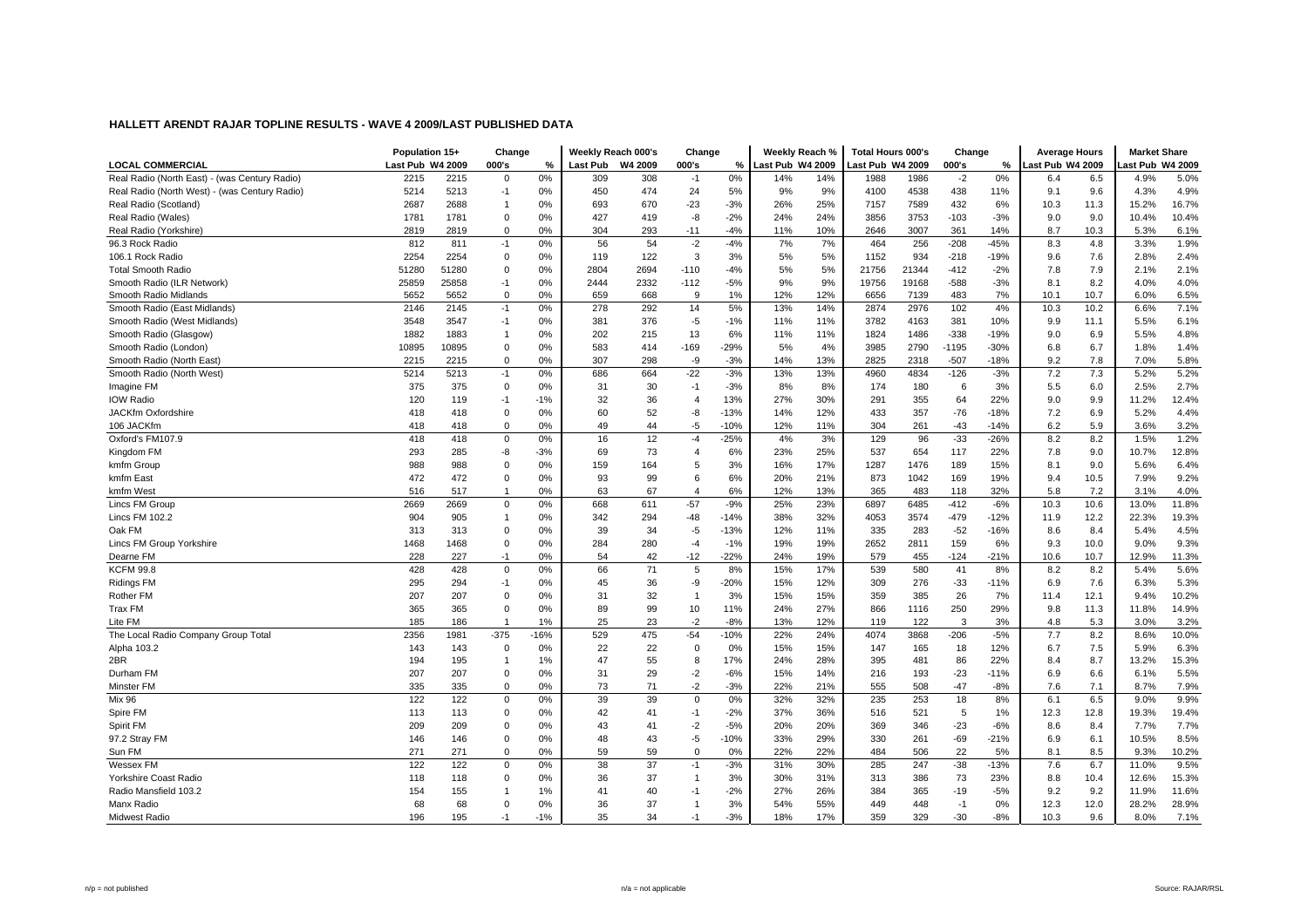|                                               | Population 15+   |       | Change         |        | Weekly Reach 000's |         | Change         |        | Weekly Reach %   |     | <b>Total Hours 000's</b> |       | Change  |        | <b>Average Hours</b> |      | <b>Market Share</b> |       |
|-----------------------------------------------|------------------|-------|----------------|--------|--------------------|---------|----------------|--------|------------------|-----|--------------------------|-------|---------|--------|----------------------|------|---------------------|-------|
| <b>LOCAL COMMERCIAL</b>                       | Last Pub W4 2009 |       | 000's          | %      | <b>Last Pub</b>    | W4 2009 | 000's          | %      | Last Pub W4 2009 |     | ast Pub W4 2009          |       | 000's   | %      | ast Pub W4 2009      |      | ast Pub W4 2009     |       |
| Real Radio (North East) - (was Century Radio) | 2215             | 2215  | $\Omega$       | 0%     | 309                | 308     | $-1$           | 0%     | 14%              | 14% | 1988                     | 1986  | $-2$    | 0%     | 6.4                  | 6.5  | 4.9%                | 5.0%  |
| Real Radio (North West) - (was Century Radio) | 5214             | 5213  | $-1$           | 0%     | 450                | 474     | 24             | 5%     | 9%               | 9%  | 4100                     | 4538  | 438     | 11%    | 9.1                  | 9.6  | 4.3%                | 4.9%  |
| Real Radio (Scotland)                         | 2687             | 2688  | $\overline{1}$ | 0%     | 693                | 670     | $-23$          | $-3%$  | 26%              | 25% | 7157                     | 7589  | 432     | 6%     | 10.3                 | 11.3 | 15.2%               | 16.7% |
| Real Radio (Wales)                            | 1781             | 1781  | $\Omega$       | 0%     | 427                | 419     | -8             | $-2%$  | 24%              | 24% | 3856                     | 3753  | $-103$  | $-3%$  | 9.0                  | 9.0  | 10.4%               | 10.4% |
| Real Radio (Yorkshire)                        | 2819             | 2819  | $\mathbf 0$    | 0%     | 304                | 293     | $-11$          | $-4%$  | 11%              | 10% | 2646                     | 3007  | 361     | 14%    | 8.7                  | 10.3 | 5.3%                | 6.1%  |
| 96.3 Rock Radio                               | 812              | 811   | $-1$           | 0%     | 56                 | 54      | $-2$           | $-4%$  | 7%               | 7%  | 464                      | 256   | $-208$  | $-45%$ | 8.3                  | 4.8  | 3.3%                | 1.9%  |
| 106.1 Rock Radio                              | 2254             | 2254  | $\Omega$       | 0%     | 119                | 122     | 3              | 3%     | 5%               | 5%  | 1152                     | 934   | $-218$  | -19%   | 9.6                  | 7.6  | 2.8%                | 2.4%  |
| <b>Total Smooth Radio</b>                     | 51280            | 51280 | $\Omega$       | 0%     | 2804               | 2694    | $-110$         | $-4%$  | 5%               | 5%  | 21756                    | 21344 | $-412$  | $-2%$  | 7.8                  | 7.9  | 2.1%                | 2.1%  |
| Smooth Radio (ILR Network)                    | 25859            | 25858 | $-1$           | 0%     | 2444               | 2332    | $-112$         | $-5%$  | 9%               | 9%  | 19756                    | 19168 | $-588$  | $-3%$  | 8.1                  | 8.2  | 4.0%                | 4.0%  |
| Smooth Radio Midlands                         | 5652             | 5652  | $\mathbf 0$    | 0%     | 659                | 668     | 9              | 1%     | 12%              | 12% | 6656                     | 7139  | 483     | 7%     | 10.1                 | 10.7 | 6.0%                | 6.5%  |
| Smooth Radio (East Midlands)                  | 2146             | 2145  | $-1$           | 0%     | 278                | 292     | 14             | 5%     | 13%              | 14% | 2874                     | 2976  | 102     | 4%     | 10.3                 | 10.2 | 6.6%                | 7.1%  |
| Smooth Radio (West Midlands)                  | 3548             | 3547  | $-1$           | 0%     | 381                | 376     | $-5$           | $-1%$  | 11%              | 11% | 3782                     | 4163  | 381     | 10%    | 9.9                  | 11.1 | 5.5%                | 6.1%  |
| Smooth Radio (Glasgow)                        | 1882             | 1883  | $\overline{1}$ | 0%     | 202                | 215     | 13             | 6%     | 11%              | 11% | 1824                     | 1486  | $-338$  | $-19%$ | 9.0                  | 6.9  | 5.5%                | 4.8%  |
| Smooth Radio (London)                         | 10895            | 10895 | $\mathbf 0$    | 0%     | 583                | 414     | $-169$         | $-29%$ | 5%               | 4%  | 3985                     | 2790  | $-1195$ | $-30%$ | 6.8                  | 6.7  | 1.8%                | 1.4%  |
| Smooth Radio (North East)                     | 2215             | 2215  | $\Omega$       | 0%     | 307                | 298     | -9             | $-3%$  | 14%              | 13% | 2825                     | 2318  | $-507$  | $-18%$ | 9.2                  | 7.8  | 7.0%                | 5.8%  |
| Smooth Radio (North West)                     | 5214             | 5213  | $-1$           | 0%     | 686                | 664     | $-22$          | $-3%$  | 13%              | 13% | 4960                     | 4834  | $-126$  | $-3%$  | 7.2                  | 7.3  | 5.2%                | 5.2%  |
| Imagine FM                                    | 375              | 375   | $\mathbf 0$    | 0%     | 31                 | 30      | $-1$           | $-3%$  | 8%               | 8%  | 174                      | 180   | 6       | 3%     | 5.5                  | 6.0  | 2.5%                | 2.7%  |
| <b>IOW Radio</b>                              | 120              | 119   | $-1$           | $-1%$  | 32                 | 36      | $\overline{4}$ | 13%    | 27%              | 30% | 291                      | 355   | 64      | 22%    | 9.0                  | 9.9  | 11.2%               | 12.4% |
| <b>JACKfm Oxfordshire</b>                     | 418              | 418   | $\mathbf 0$    | 0%     | 60                 | 52      | -8             | $-13%$ | 14%              | 12% | 433                      | 357   | $-76$   | $-18%$ | 7.2                  | 6.9  | 5.2%                | 4.4%  |
| 106 JACKfm                                    | 418              | 418   | $\mathbf 0$    | 0%     | 49                 | 44      | -5             | $-10%$ | 12%              | 11% | 304                      | 261   | $-43$   | $-14%$ | 6.2                  | 5.9  | 3.6%                | 3.2%  |
| Oxford's FM107.9                              | 418              | 418   | $\mathbf 0$    | 0%     | 16                 | 12      | $-4$           | $-25%$ | 4%               | 3%  | 129                      | 96    | $-33$   | $-26%$ | 8.2                  | 8.2  | 1.5%                | 1.2%  |
| Kingdom FM                                    | 293              | 285   | -8             | $-3%$  | 69                 | 73      | $\overline{4}$ | 6%     | 23%              | 25% | 537                      | 654   | 117     | 22%    | 7.8                  | 9.0  | 10.7%               | 12.8% |
| kmfm Group                                    | 988              | 988   | $\Omega$       | 0%     | 159                | 164     | 5              | 3%     | 16%              | 17% | 1287                     | 1476  | 189     | 15%    | 8.1                  | 9.0  | 5.6%                | 6.4%  |
| kmfm East                                     | 472              | 472   | $\mathbf 0$    | 0%     | 93                 | 99      | 6              | 6%     | 20%              | 21% | 873                      | 1042  | 169     | 19%    | 9.4                  | 10.5 | 7.9%                | 9.2%  |
| kmfm West                                     | 516              | 517   | $\overline{1}$ | 0%     | 63                 | 67      | $\overline{4}$ | 6%     | 12%              | 13% | 365                      | 483   | 118     | 32%    | 5.8                  | 7.2  | 3.1%                | 4.0%  |
| Lincs FM Group                                | 2669             | 2669  | $\mathbf 0$    | 0%     | 668                | 611     | $-57$          | $-9%$  | 25%              | 23% | 6897                     | 6485  | $-412$  | $-6%$  | 10.3                 | 10.6 | 13.0%               | 11.8% |
| Lincs FM 102.2                                | 904              | 905   | $\overline{1}$ | 0%     | 342                | 294     | $-48$          | $-14%$ | 38%              | 32% | 4053                     | 3574  | $-479$  | $-12%$ | 11.9                 | 12.2 | 22.3%               | 19.3% |
| Oak FM                                        | 313              | 313   | $\Omega$       | 0%     | 39                 | 34      | $-5$           | $-13%$ | 12%              | 11% | 335                      | 283   | $-52$   | $-16%$ | 8.6                  | 8.4  | 5.4%                | 4.5%  |
| Lincs FM Group Yorkshire                      | 1468             | 1468  | $\mathbf 0$    | 0%     | 284                | 280     | $-4$           | $-1%$  | 19%              | 19% | 2652                     | 2811  | 159     | 6%     | 9.3                  | 10.0 | 9.0%                | 9.3%  |
| Dearne FM                                     | 228              | 227   | $-1$           | 0%     | 54                 | 42      | $-12$          | $-22%$ | 24%              | 19% | 579                      | 455   | $-124$  | $-21%$ | 10.6                 | 10.7 | 12.9%               | 11.3% |
| <b>KCFM 99.8</b>                              | 428              | 428   | $\mathbf 0$    | 0%     | 66                 | 71      | 5              | 8%     | 15%              | 17% | 539                      | 580   | 41      | 8%     | 8.2                  | 8.2  | 5.4%                | 5.6%  |
| <b>Ridings FM</b>                             | 295              | 294   | $-1$           | 0%     | 45                 | 36      | -9             | $-20%$ | 15%              | 12% | 309                      | 276   | $-33$   | $-11%$ | 6.9                  | 7.6  | 6.3%                | 5.3%  |
| Rother FM                                     | 207              | 207   | $\Omega$       | 0%     | 31                 | 32      | $\overline{1}$ | 3%     | 15%              | 15% | 359                      | 385   | 26      | 7%     | 11.4                 | 12.1 | 9.4%                | 10.2% |
| <b>Trax FM</b>                                | 365              | 365   | $\mathbf 0$    | 0%     | 89                 | 99      | 10             | 11%    | 24%              | 27% | 866                      | 1116  | 250     | 29%    | 9.8                  | 11.3 | 11.8%               | 14.9% |
| Lite FM                                       | 185              | 186   | -1             | 1%     | 25                 | 23      | $-2$           | $-8%$  | 13%              | 12% | 119                      | 122   | 3       | 3%     | 4.8                  | 5.3  | 3.0%                | 3.2%  |
| The Local Radio Company Group Total           | 2356             | 1981  | $-375$         | $-16%$ | 529                | 475     | $-54$          | $-10%$ | 22%              | 24% | 4074                     | 3868  | $-206$  | $-5%$  | 7.7                  | 8.2  | 8.6%                | 10.0% |
| Alpha 103.2                                   | 143              | 143   | 0              | 0%     | 22                 | 22      | $\mathbf 0$    | 0%     | 15%              | 15% | 147                      | 165   | 18      | 12%    | 6.7                  | 7.5  | 5.9%                | 6.3%  |
| 2BR                                           | 194              | 195   | $\overline{1}$ | 1%     | 47                 | 55      | 8              | 17%    | 24%              | 28% | 395                      | 481   | 86      | 22%    | 8.4                  | 8.7  | 13.2%               | 15.3% |
| Durham FM                                     | 207              | 207   | $\mathbf 0$    | 0%     | 31                 | 29      | $-2$           | $-6%$  | 15%              | 14% | 216                      | 193   | $-23$   | $-11%$ | 6.9                  | 6.6  | 6.1%                | 5.5%  |
| Minster FM                                    | 335              | 335   | $\mathbf 0$    | 0%     | 73                 | 71      | $-2$           | $-3%$  | 22%              | 21% | 555                      | 508   | $-47$   | $-8%$  | 7.6                  | 7.1  | 8.7%                | 7.9%  |
| Mix 96                                        | 122              | 122   | 0              | 0%     | 39                 | 39      | 0              | 0%     | 32%              | 32% | 235                      | 253   | 18      | 8%     | 6.1                  | 6.5  | 9.0%                | 9.9%  |
| Spire FM                                      | 113              | 113   | $\mathbf 0$    | 0%     | 42                 | 41      | $-1$           | $-2%$  | 37%              | 36% | 516                      | 521   | 5       | 1%     | 12.3                 | 12.8 | 19.3%               | 19.4% |
| Spirit FM                                     | 209              | 209   | $\mathbf 0$    | 0%     | 43                 | 41      | $-2$           | $-5%$  | 20%              | 20% | 369                      | 346   | $-23$   | $-6%$  | 8.6                  | 8.4  | 7.7%                | 7.7%  |
| 97.2 Stray FM                                 | 146              | 146   | $\mathbf 0$    | 0%     | 48                 | 43      | $-5$           | $-10%$ | 33%              | 29% | 330                      | 261   | $-69$   | $-21%$ | 6.9                  | 6.1  | 10.5%               | 8.5%  |
| Sun FM                                        | 271              | 271   | $\Omega$       | 0%     | 59                 | 59      | $\Omega$       | 0%     | 22%              | 22% | 484                      | 506   | 22      | 5%     | 8.1                  | 8.5  | 9.3%                | 10.2% |
| Wessex FM                                     | 122              | 122   | $\mathbf 0$    | 0%     | 38                 | 37      | $-1$           | $-3%$  | 31%              | 30% | 285                      | 247   | $-38$   | $-13%$ | 7.6                  | 6.7  | 11.0%               | 9.5%  |
| Yorkshire Coast Radio                         | 118              | 118   | $\mathbf 0$    | 0%     | 36                 | 37      | $\mathbf{1}$   | 3%     | 30%              | 31% | 313                      | 386   | 73      | 23%    | 8.8                  | 10.4 | 12.6%               | 15.3% |
| Radio Mansfield 103.2                         | 154              | 155   |                | 1%     | 41                 | 40      | $-1$           | $-2%$  | 27%              | 26% | 384                      | 365   | $-19$   | $-5%$  | 9.2                  | 9.2  | 11.9%               | 11.6% |
| Manx Radio                                    | 68               | 68    | $\Omega$       | 0%     | 36                 | 37      | $\overline{1}$ | 3%     | 54%              | 55% | 449                      | 448   | $-1$    | 0%     | 12.3                 | 12.0 | 28.2%               | 28.9% |
| <b>Midwest Radio</b>                          | 196              | 195   | $-1$           | $-1%$  | 35                 | 34      | $-1$           | $-3%$  | 18%              | 17% | 359                      | 329   | $-30$   | $-8%$  | 10.3                 | 9.6  | 8.0%                | 7.1%  |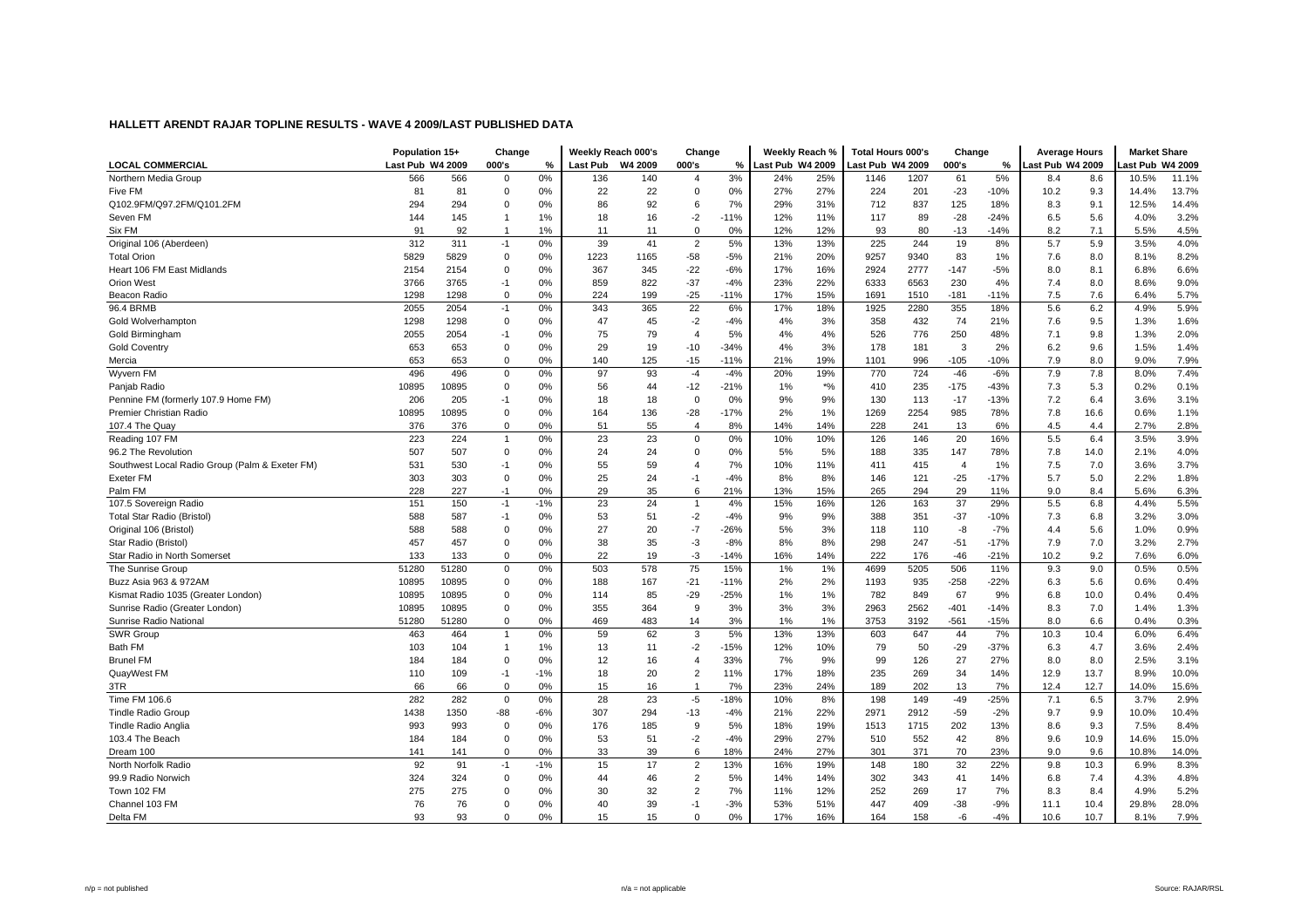|                                                | Population 15+   |       | Change       |       |                 | Weekly Reach 000's | Change         |        | Weekly Reach %   |       | Total Hours 000's |      | Change         |        | <b>Average Hours</b> |      | <b>Market Share</b> |       |
|------------------------------------------------|------------------|-------|--------------|-------|-----------------|--------------------|----------------|--------|------------------|-------|-------------------|------|----------------|--------|----------------------|------|---------------------|-------|
| <b>LOCAL COMMERCIAL</b>                        | Last Pub W4 2009 |       | 000's        | %     | <b>Last Pub</b> | W4 2009            | 000's          | %      | Last Pub W4 2009 |       | ast Pub W4 2009-  |      | 000's          | %      | ast Pub W4 2009      |      | ast Pub W4 2009     |       |
| Northern Media Group                           | 566              | 566   | $\mathbf 0$  | 0%    | 136             | 140                | $\overline{4}$ | 3%     | 24%              | 25%   | 1146              | 1207 | 61             | 5%     | 8.4                  | 8.6  | 10.5%               | 11.1% |
| Five FM                                        | 81               | 81    | $\Omega$     | 0%    | 22              | 22                 | $\Omega$       | 0%     | 27%              | 27%   | 224               | 201  | $-23$          | $-10%$ | 10.2                 | 9.3  | 14.4%               | 13.7% |
| Q102.9FM/Q97.2FM/Q101.2FM                      | 294              | 294   | $\mathbf 0$  | 0%    | 86              | 92                 | 6              | 7%     | 29%              | 31%   | 712               | 837  | 125            | 18%    | 8.3                  | 9.1  | 12.5%               | 14.4% |
| Seven FM                                       | 144              | 145   |              | 1%    | 18              | 16                 | $-2$           | $-11%$ | 12%              | 11%   | 117               | 89   | $-28$          | $-24%$ | 6.5                  | 5.6  | 4.0%                | 3.2%  |
| Six FM                                         | 91               | 92    |              | 1%    | 11              | 11                 | $\Omega$       | 0%     | 12%              | 12%   | 93                | 80   | $-13$          | $-14%$ | 8.2                  | 7.1  | 5.5%                | 4.5%  |
| Original 106 (Aberdeen)                        | 312              | 311   | $-1$         | 0%    | 39              | 41                 | $\overline{2}$ | 5%     | 13%              | 13%   | 225               | 244  | 19             | 8%     | 5.7                  | 5.9  | 3.5%                | 4.0%  |
| <b>Total Orion</b>                             | 5829             | 5829  | $\mathbf 0$  | 0%    | 1223            | 1165               | $-58$          | $-5%$  | 21%              | 20%   | 9257              | 9340 | 83             | 1%     | 7.6                  | 8.0  | 8.1%                | 8.2%  |
| Heart 106 FM East Midlands                     | 2154             | 2154  | $\mathbf 0$  | 0%    | 367             | 345                | $-22$          | $-6%$  | 17%              | 16%   | 2924              | 2777 | $-147$         | $-5%$  | 8.0                  | 8.1  | 6.8%                | 6.6%  |
| <b>Orion West</b>                              | 3766             | 3765  | $-1$         | 0%    | 859             | 822                | $-37$          | $-4%$  | 23%              | 22%   | 6333              | 6563 | 230            | 4%     | 7.4                  | 8.0  | 8.6%                | 9.0%  |
| Beacon Radio                                   | 1298             | 1298  | $\mathbf 0$  | 0%    | 224             | 199                | $-25$          | $-11%$ | 17%              | 15%   | 1691              | 1510 | $-181$         | $-11%$ | 7.5                  | 7.6  | 6.4%                | 5.7%  |
| 96.4 BRMB                                      | 2055             | 2054  | $-1$         | 0%    | 343             | 365                | 22             | 6%     | 17%              | 18%   | 1925              | 2280 | 355            | 18%    | 5.6                  | 6.2  | 4.9%                | 5.9%  |
| Gold Wolverhampton                             | 1298             | 1298  | $\mathbf 0$  | 0%    | 47              | 45                 | $-2$           | $-4%$  | 4%               | 3%    | 358               | 432  | 74             | 21%    | 7.6                  | 9.5  | 1.3%                | 1.6%  |
| Gold Birmingham                                | 2055             | 2054  | $-1$         | 0%    | 75              | 79                 | $\overline{4}$ | 5%     | 4%               | 4%    | 526               | 776  | 250            | 48%    | 7.1                  | 9.8  | 1.3%                | 2.0%  |
| <b>Gold Coventry</b>                           | 653              | 653   | $\mathbf 0$  | 0%    | 29              | 19                 | $-10$          | $-34%$ | 4%               | 3%    | 178               | 181  | 3              | 2%     | 6.2                  | 9.6  | 1.5%                | 1.4%  |
| Mercia                                         | 653              | 653   | $\mathbf 0$  | 0%    | 140             | 125                | $-15$          | $-11%$ | 21%              | 19%   | 1101              | 996  | $-105$         | $-10%$ | 7.9                  | 8.0  | 9.0%                | 7.9%  |
| Wyvern FM                                      | 496              | 496   | $\mathbf 0$  | 0%    | 97              | 93                 | $-4$           | $-4%$  | 20%              | 19%   | 770               | 724  | $-46$          | $-6%$  | 7.9                  | 7.8  | 8.0%                | 7.4%  |
| Panjab Radio                                   | 10895            | 10895 | $\Omega$     | 0%    | 56              | 44                 | $-12$          | $-21%$ | 1%               | $*$ % | 410               | 235  | $-175$         | $-43%$ | 7.3                  | 5.3  | 0.2%                | 0.1%  |
| Pennine FM (formerly 107.9 Home FM)            | 206              | 205   | $-1$         | 0%    | 18              | 18                 | $\Omega$       | 0%     | 9%               | 9%    | 130               | 113  | $-17$          | $-13%$ | 7.2                  | 6.4  | 3.6%                | 3.1%  |
| Premier Christian Radio                        | 10895            | 10895 | $\mathbf 0$  | 0%    | 164             | 136                | $-28$          | $-17%$ | 2%               | 1%    | 1269              | 2254 | 985            | 78%    | 7.8                  | 16.6 | 0.6%                | 1.1%  |
| 107.4 The Quay                                 | 376              | 376   | $\mathbf 0$  | 0%    | 51              | 55                 | $\overline{4}$ | 8%     | 14%              | 14%   | 228               | 241  | 13             | 6%     | 4.5                  | 4.4  | 2.7%                | 2.8%  |
| Reading 107 FM                                 | 223              | 224   |              | 0%    | 23              | 23                 | $\Omega$       | 0%     | 10%              | 10%   | 126               | 146  | 20             | 16%    | 5.5                  | 6.4  | 3.5%                | 3.9%  |
| 96.2 The Revolution                            | 507              | 507   | $\mathbf 0$  | 0%    | 24              | 24                 | $\Omega$       | 0%     | 5%               | 5%    | 188               | 335  | 147            | 78%    | 7.8                  | 14.0 | 2.1%                | 4.0%  |
| Southwest Local Radio Group (Palm & Exeter FM) | 531              | 530   | $-1$         | 0%    | 55              | 59                 | $\overline{4}$ | 7%     | 10%              | 11%   | 411               | 415  | $\overline{4}$ | 1%     | 7.5                  | 7.0  | 3.6%                | 3.7%  |
| Exeter FM                                      | 303              | 303   | $\mathbf 0$  | 0%    | 25              | 24                 | $-1$           | $-4%$  | 8%               | 8%    | 146               | 121  | $-25$          | $-17%$ | 5.7                  | 5.0  | 2.2%                | 1.8%  |
| Palm FM                                        | 228              | 227   | $-1$         | 0%    | 29              | 35                 | 6              | 21%    | 13%              | 15%   | 265               | 294  | 29             | 11%    | 9.0                  | 8.4  | 5.6%                | 6.3%  |
| 107.5 Sovereign Radio                          | 151              | 150   | $-1$         | $-1%$ | 23              | 24                 | $\mathbf{1}$   | 4%     | 15%              | 16%   | 126               | 163  | 37             | 29%    | 5.5                  | 6.8  | 4.4%                | 5.5%  |
| <b>Total Star Radio (Bristol)</b>              | 588              | 587   | $-1$         | 0%    | 53              | 51                 | $-2$           | $-4%$  | 9%               | 9%    | 388               | 351  | $-37$          | $-10%$ | 7.3                  | 6.8  | 3.2%                | 3.0%  |
| Original 106 (Bristol)                         | 588              | 588   | $\mathbf 0$  | 0%    | 27              | 20                 | $-7$           | $-26%$ | 5%               | 3%    | 118               | 110  | -8             | $-7%$  | 4.4                  | 5.6  | 1.0%                | 0.9%  |
| Star Radio (Bristol)                           | 457              | 457   | $\mathbf 0$  | 0%    | 38              | 35                 | $-3$           | $-8%$  | 8%               | 8%    | 298               | 247  | $-51$          | $-17%$ | 7.9                  | 7.0  | 3.2%                | 2.7%  |
| Star Radio in North Somerset                   | 133              | 133   | $\mathbf 0$  | 0%    | 22              | 19                 | -3             | $-14%$ | 16%              | 14%   | 222               | 176  | -46            | $-21%$ | 10.2                 | 9.2  | 7.6%                | 6.0%  |
| The Sunrise Group                              | 51280            | 51280 | $\mathbf 0$  | 0%    | 503             | 578                | 75             | 15%    | 1%               | 1%    | 4699              | 5205 | 506            | 11%    | 9.3                  | 9.0  | 0.5%                | 0.5%  |
| Buzz Asia 963 & 972AM                          | 10895            | 10895 | $\mathbf 0$  | 0%    | 188             | 167                | $-21$          | $-11%$ | 2%               | 2%    | 1193              | 935  | $-258$         | $-22%$ | 6.3                  | 5.6  | 0.6%                | 0.4%  |
| Kismat Radio 1035 (Greater London)             | 10895            | 10895 | $\Omega$     | 0%    | 114             | 85                 | $-29$          | $-25%$ | 1%               | 1%    | 782               | 849  | 67             | 9%     | 6.8                  | 10.0 | 0.4%                | 0.4%  |
| Sunrise Radio (Greater London)                 | 10895            | 10895 | $\mathbf 0$  | 0%    | 355             | 364                | 9              | 3%     | 3%               | 3%    | 2963              | 2562 | $-401$         | $-14%$ | 8.3                  | 7.0  | 1.4%                | 1.3%  |
| Sunrise Radio National                         | 51280            | 51280 | $\Omega$     | 0%    | 469             | 483                | 14             | 3%     | 1%               | 1%    | 3753              | 3192 | $-561$         | $-15%$ | 8.0                  | 6.6  | 0.4%                | 0.3%  |
| SWR Group                                      | 463              | 464   | $\mathbf{1}$ | 0%    | 59              | 62                 | 3              | 5%     | 13%              | 13%   | 603               | 647  | 44             | 7%     | 10.3                 | 10.4 | 6.0%                | 6.4%  |
| Bath FM                                        | 103              | 104   |              | 1%    | 13              | 11                 | $-2$           | $-15%$ | 12%              | 10%   | 79                | 50   | $-29$          | $-37%$ | 6.3                  | 4.7  | 3.6%                | 2.4%  |
| <b>Brunel FM</b>                               | 184              | 184   | $\mathbf 0$  | 0%    | 12              | 16                 | $\overline{4}$ | 33%    | 7%               | 9%    | 99                | 126  | 27             | 27%    | 8.0                  | 8.0  | 2.5%                | 3.1%  |
| QuayWest FM                                    | 110              | 109   | $-1$         | $-1%$ | 18              | 20                 | $\overline{2}$ | 11%    | 17%              | 18%   | 235               | 269  | 34             | 14%    | 12.9                 | 13.7 | 8.9%                | 10.0% |
| 3TR                                            | 66               | 66    | $\Omega$     | 0%    | 15              | 16                 | $\overline{1}$ | 7%     | 23%              | 24%   | 189               | 202  | 13             | 7%     | 12.4                 | 12.7 | 14.0%               | 15.6% |
| Time FM 106.6                                  | 282              | 282   | $\mathbf 0$  | 0%    | 28              | 23                 | $-5$           | $-18%$ | 10%              | 8%    | 198               | 149  | $-49$          | $-25%$ | 7.1                  | 6.5  | 3.7%                | 2.9%  |
| <b>Tindle Radio Group</b>                      | 1438             | 1350  | $-88$        | $-6%$ | 307             | 294                | $-13$          | $-4%$  | 21%              | 22%   | 2971              | 2912 | $-59$          | $-2%$  | 9.7                  | 9.9  | 10.0%               | 10.4% |
| Tindle Radio Anglia                            | 993              | 993   | $\mathbf 0$  | 0%    | 176             | 185                | 9              | 5%     | 18%              | 19%   | 1513              | 1715 | 202            | 13%    | 8.6                  | 9.3  | 7.5%                | 8.4%  |
| 103.4 The Beach                                | 184              | 184   | $\mathbf 0$  | 0%    | 53              | 51                 | $-2$           | $-4%$  | 29%              | 27%   | 510               | 552  | 42             | 8%     | 9.6                  | 10.9 | 14.6%               | 15.0% |
| Dream 100                                      | 141              | 141   | $\mathbf 0$  | 0%    | 33              | 39                 | 6              | 18%    | 24%              | 27%   | 301               | 371  | 70             | 23%    | 9.0                  | 9.6  | 10.8%               | 14.0% |
| North Norfolk Radio                            | 92               | 91    | $-1$         | $-1%$ | 15              | 17                 | $\overline{2}$ | 13%    | 16%              | 19%   | 148               | 180  | 32             | 22%    | 9.8                  | 10.3 | 6.9%                | 8.3%  |
| 99.9 Radio Norwich                             | 324              | 324   | $\mathbf 0$  | 0%    | 44              | 46                 | $\overline{2}$ | 5%     | 14%              | 14%   | 302               | 343  | 41             | 14%    | 6.8                  | 7.4  | 4.3%                | 4.8%  |
| Town 102 FM                                    | 275              | 275   | $\Omega$     | 0%    | 30              | 32                 | $\overline{2}$ | 7%     | 11%              | 12%   | 252               | 269  | 17             | 7%     | 8.3                  | 8.4  | 4.9%                | 5.2%  |
| Channel 103 FM                                 | 76               | 76    | $\Omega$     | 0%    | 40              | 39                 | $-1$           | $-3%$  | 53%              | 51%   | 447               | 409  | $-38$          | $-9%$  | 11.1                 | 10.4 | 29.8%               | 28.0% |
| Delta FM                                       | 93               | 93    | $\Omega$     | 0%    | 15              | 15                 | $\Omega$       | 0%     | 17%              | 16%   | 164               | 158  | -6             | $-4%$  | 10.6                 | 10.7 | 8.1%                | 7.9%  |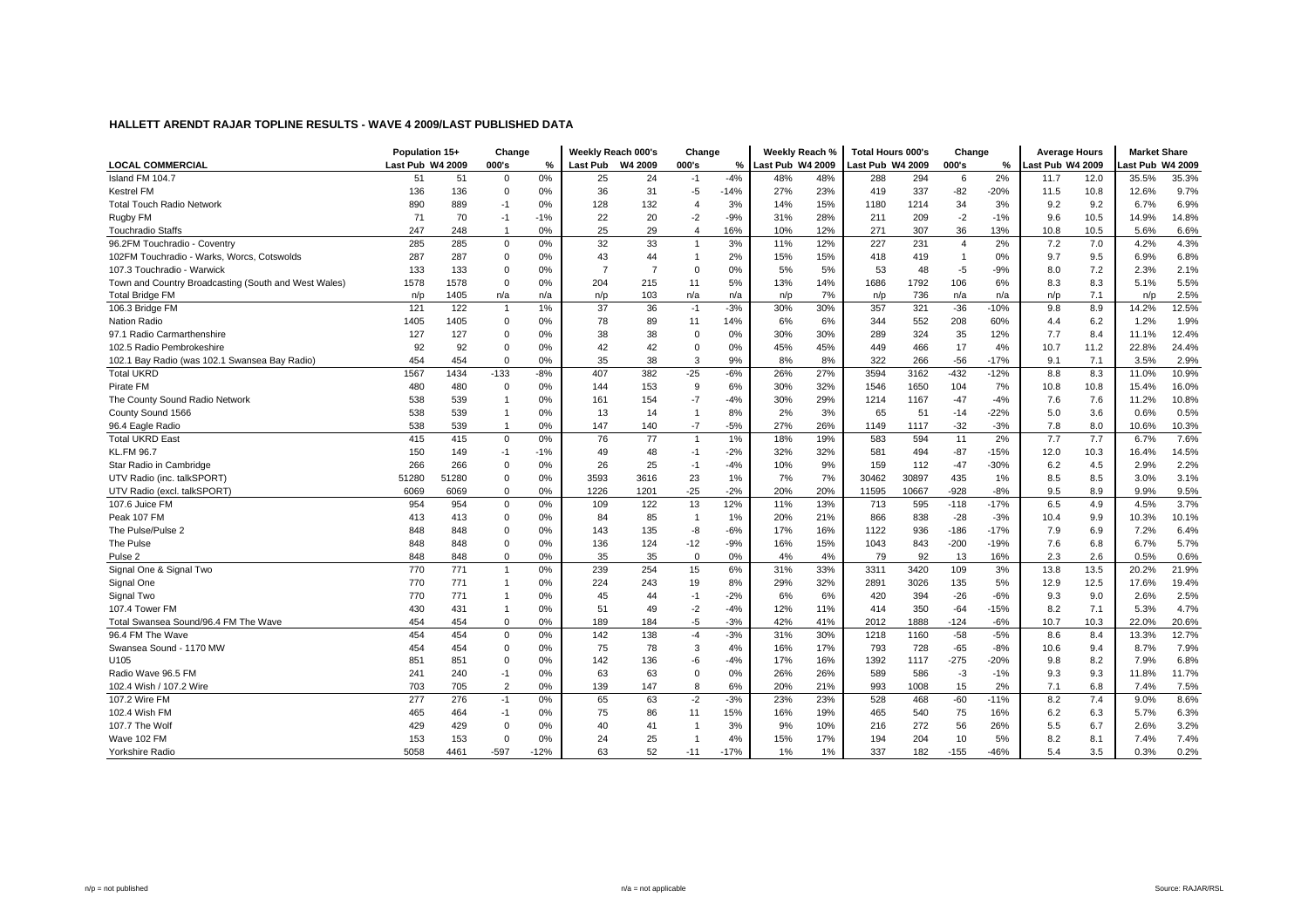|                                                      | Population 15+   |       | Change         |        | Weekly Reach 000's |      | Change                   |        | Weekly Reach %   |     | <b>Total Hours 000's</b> |       | Change         |        | <b>Average Hours</b> |      | <b>Market Share</b> |       |
|------------------------------------------------------|------------------|-------|----------------|--------|--------------------|------|--------------------------|--------|------------------|-----|--------------------------|-------|----------------|--------|----------------------|------|---------------------|-------|
| <b>LOCAL COMMERCIAL</b>                              | Last Pub W4 2009 |       | 000's          | %      | Last Pub W4 2009   |      | 000's                    | %      | Last Pub W4 2009 |     | Last Pub W4 2009         |       | 000's          | %      | ast Pub W4 2009      |      | ast Pub W4 2009     |       |
| Island FM 104.7                                      | 51               | 51    | $\mathbf 0$    | 0%     | 25                 | 24   | $-1$                     | $-4%$  | 48%              | 48% | 288                      | 294   | 6              | 2%     | 11.7                 | 12.0 | 35.5%               | 35.3% |
| <b>Kestrel FM</b>                                    | 136              | 136   | $\mathbf 0$    | 0%     | 36                 | 31   | $-5$                     | $-14%$ | 27%              | 23% | 419                      | 337   | $-82$          | $-20%$ | 11.5                 | 10.8 | 12.6%               | 9.7%  |
| <b>Total Touch Radio Network</b>                     | 890              | 889   | $-1$           | 0%     | 128                | 132  | $\overline{4}$           | 3%     | 14%              | 15% | 1180                     | 1214  | 34             | 3%     | 9.2                  | 9.2  | 6.7%                | 6.9%  |
| Rugby FM                                             | 71               | 70    | $-1$           | $-1%$  | 22                 | 20   | $-2$                     | $-9%$  | 31%              | 28% | 211                      | 209   | $-2$           | $-1%$  | 9.6                  | 10.5 | 14.9%               | 14.8% |
| <b>Touchradio Staffs</b>                             | 247              | 248   | $\overline{1}$ | 0%     | 25                 | 29   | $\overline{4}$           | 16%    | 10%              | 12% | 271                      | 307   | 36             | 13%    | 10.8                 | 10.5 | 5.6%                | 6.6%  |
| 96.2FM Touchradio - Coventry                         | 285              | 285   | $\mathbf 0$    | 0%     | 32                 | 33   | $\mathbf{1}$             | 3%     | 11%              | 12% | 227                      | 231   | $\overline{4}$ | 2%     | 7.2                  | 7.0  | 4.2%                | 4.3%  |
| 102FM Touchradio - Warks, Worcs, Cotswolds           | 287              | 287   | $\mathbf 0$    | 0%     | 43                 | 44   | $\overline{1}$           | 2%     | 15%              | 15% | 418                      | 419   | $\mathbf{1}$   | 0%     | 9.7                  | 9.5  | 6.9%                | 6.8%  |
| 107.3 Touchradio - Warwick                           | 133              | 133   | $\Omega$       | 0%     | $\overline{7}$     | 7    | $\Omega$                 | 0%     | 5%               | 5%  | 53                       | 48    | $-5$           | $-9%$  | 8.0                  | 7.2  | 2.3%                | 2.1%  |
| Town and Country Broadcasting (South and West Wales) | 1578             | 1578  | $\Omega$       | 0%     | 204                | 215  | 11                       | 5%     | 13%              | 14% | 1686                     | 1792  | 106            | 6%     | 8.3                  | 8.3  | 5.1%                | 5.5%  |
| <b>Total Bridge FM</b>                               | n/p              | 1405  | n/a            | n/a    | n/p                | 103  | n/a                      | n/a    | n/p              | 7%  | n/p                      | 736   | n/a            | n/a    | n/p                  | 7.1  | n/p                 | 2.5%  |
| 106.3 Bridge FM                                      | 121              | 122   | $\overline{1}$ | 1%     | 37                 | 36   | $-1$                     | $-3%$  | 30%              | 30% | 357                      | 321   | $-36$          | $-10%$ | 9.8                  | 8.9  | 14.2%               | 12.5% |
| <b>Nation Radio</b>                                  | 1405             | 1405  | $\Omega$       | 0%     | 78                 | 89   | 11                       | 14%    | 6%               | 6%  | 344                      | 552   | 208            | 60%    | 4.4                  | 6.2  | 1.2%                | 1.9%  |
| 97.1 Radio Carmarthenshire                           | 127              | 127   | $\Omega$       | 0%     | 38                 | 38   | $\Omega$                 | 0%     | 30%              | 30% | 289                      | 324   | 35             | 12%    | 7.7                  | 8.4  | 11.1%               | 12.4% |
| 102.5 Radio Pembrokeshire                            | 92               | 92    | $\Omega$       | 0%     | 42                 | 42   | $\Omega$                 | 0%     | 45%              | 45% | 449                      | 466   | 17             | 4%     | 10.7                 | 11.2 | 22.8%               | 24.4% |
| 102.1 Bay Radio (was 102.1 Swansea Bay Radio)        | 454              | 454   | $\Omega$       | 0%     | 35                 | 38   | 3                        | 9%     | 8%               | 8%  | 322                      | 266   | $-56$          | $-17%$ | 9.1                  | 7.1  | 3.5%                | 2.9%  |
| <b>Total UKRD</b>                                    | 1567             | 1434  | $-133$         | $-8%$  | 407                | 382  | $-25$                    | $-6%$  | 26%              | 27% | 3594                     | 3162  | $-432$         | $-12%$ | 8.8                  | 8.3  | 11.0%               | 10.9% |
| Pirate FM                                            | 480              | 480   | $\Omega$       | 0%     | 144                | 153  | 9                        | 6%     | 30%              | 32% | 1546                     | 1650  | 104            | 7%     | 10.8                 | 10.8 | 15.4%               | 16.0% |
| The County Sound Radio Network                       | 538              | 539   | -1             | 0%     | 161                | 154  | $-7$                     | $-4%$  | 30%              | 29% | 1214                     | 1167  | $-47$          | $-4%$  | 7.6                  | 7.6  | 11.2%               | 10.8% |
| County Sound 1566                                    | 538              | 539   |                | 0%     | 13                 | 14   | $\overline{1}$           | 8%     | 2%               | 3%  | 65                       | 51    | $-14$          | $-22%$ | 5.0                  | 3.6  | 0.6%                | 0.5%  |
| 96.4 Eagle Radio                                     | 538              | 539   | -1             | 0%     | 147                | 140  | $-7$                     | $-5%$  | 27%              | 26% | 1149                     | 1117  | $-32$          | $-3%$  | 7.8                  | 8.0  | 10.6%               | 10.3% |
| <b>Total UKRD East</b>                               | 415              | 415   | $\mathbf 0$    | 0%     | 76                 | 77   | $\overline{1}$           | 1%     | 18%              | 19% | 583                      | 594   | 11             | 2%     | 7.7                  | 7.7  | 6.7%                | 7.6%  |
| <b>KL.FM 96.7</b>                                    | 150              | 149   | $-1$           | $-1%$  | 49                 | 48   | $-1$                     | $-2%$  | 32%              | 32% | 581                      | 494   | $-87$          | $-15%$ | 12.0                 | 10.3 | 16.4%               | 14.5% |
| Star Radio in Cambridge                              | 266              | 266   | $\mathbf 0$    | 0%     | 26                 | 25   | $-1$                     | $-4%$  | 10%              | 9%  | 159                      | 112   | $-47$          | $-30%$ | 6.2                  | 4.5  | 2.9%                | 2.2%  |
| UTV Radio (inc. talkSPORT)                           | 51280            | 51280 | $\Omega$       | 0%     | 3593               | 3616 | 23                       | 1%     | 7%               | 7%  | 30462                    | 30897 | 435            | 1%     | 8.5                  | 8.5  | 3.0%                | 3.1%  |
| UTV Radio (excl. talkSPORT)                          | 6069             | 6069  | $\Omega$       | 0%     | 1226               | 1201 | $-25$                    | $-2%$  | 20%              | 20% | 11595                    | 10667 | $-928$         | $-8%$  | 9.5                  | 8.9  | 9.9%                | 9.5%  |
| 107.6 Juice FM                                       | 954              | 954   | $\mathbf 0$    | 0%     | 109                | 122  | 13                       | 12%    | 11%              | 13% | 713                      | 595   | $-118$         | $-17%$ | 6.5                  | 4.9  | 4.5%                | 3.7%  |
| Peak 107 FM                                          | 413              | 413   | $\mathbf 0$    | 0%     | 84                 | 85   | $\overline{1}$           | 1%     | 20%              | 21% | 866                      | 838   | $-28$          | $-3%$  | 10.4                 | 9.9  | 10.3%               | 10.1% |
| The Pulse/Pulse 2                                    | 848              | 848   | $\Omega$       | 0%     | 143                | 135  | -8                       | $-6%$  | 17%              | 16% | 1122                     | 936   | $-186$         | $-17%$ | 7.9                  | 6.9  | 7.2%                | 6.4%  |
| The Pulse                                            | 848              | 848   | $\Omega$       | 0%     | 136                | 124  | $-12$                    | $-9%$  | 16%              | 15% | 1043                     | 843   | $-200$         | $-19%$ | 7.6                  | 6.8  | 6.7%                | 5.7%  |
| Pulse <sub>2</sub>                                   | 848              | 848   | $\mathbf 0$    | 0%     | 35                 | 35   | $\mathbf 0$              | 0%     | 4%               | 4%  | 79                       | 92    | 13             | 16%    | 2.3                  | 2.6  | 0.5%                | 0.6%  |
| Signal One & Signal Two                              | 770              | 771   | $\overline{1}$ | 0%     | 239                | 254  | 15                       | 6%     | 31%              | 33% | 3311                     | 3420  | 109            | 3%     | 13.8                 | 13.5 | 20.2%               | 21.9% |
| Signal One                                           | 770              | 771   | -1             | 0%     | 224                | 243  | 19                       | 8%     | 29%              | 32% | 2891                     | 3026  | 135            | 5%     | 12.9                 | 12.5 | 17.6%               | 19.4% |
| Signal Two                                           | 770              | 771   | -1             | 0%     | 45                 | 44   | $-1$                     | $-2%$  | 6%               | 6%  | 420                      | 394   | $-26$          | $-6%$  | 9.3                  | 9.0  | 2.6%                | 2.5%  |
| 107.4 Tower FM                                       | 430              | 431   | $\overline{1}$ | 0%     | 51                 | 49   | $-2$                     | $-4%$  | 12%              | 11% | 414                      | 350   | $-64$          | $-15%$ | 8.2                  | 7.1  | 5.3%                | 4.7%  |
| Total Swansea Sound/96.4 FM The Wave                 | 454              | 454   | $\mathbf 0$    | 0%     | 189                | 184  | $-5$                     | $-3%$  | 42%              | 41% | 2012                     | 1888  | $-124$         | $-6%$  | 10.7                 | 10.3 | 22.0%               | 20.6% |
| 96.4 FM The Wave                                     | 454              | 454   | $\mathbf 0$    | 0%     | 142                | 138  | $-4$                     | $-3%$  | 31%              | 30% | 1218                     | 1160  | $-58$          | $-5%$  | 8.6                  | 8.4  | 13.3%               | 12.7% |
| Swansea Sound - 1170 MW                              | 454              | 454   | $\mathbf 0$    | 0%     | 75                 | 78   | 3                        | 4%     | 16%              | 17% | 793                      | 728   | $-65$          | $-8%$  | 10.6                 | 9.4  | 8.7%                | 7.9%  |
| U105                                                 | 851              | 851   | $\mathbf 0$    | 0%     | 142                | 136  | -6                       | $-4%$  | 17%              | 16% | 1392                     | 1117  | $-275$         | $-20%$ | 9.8                  | 8.2  | 7.9%                | 6.8%  |
| Radio Wave 96.5 FM                                   | 241              | 240   | $-1$           | 0%     | 63                 | 63   | $\Omega$                 | 0%     | 26%              | 26% | 589                      | 586   | $-3$           | $-1%$  | 9.3                  | 9.3  | 11.8%               | 11.7% |
| 102.4 Wish / 107.2 Wire                              | 703              | 705   | 2              | 0%     | 139                | 147  | 8                        | 6%     | 20%              | 21% | 993                      | 1008  | 15             | 2%     | 7.1                  | 6.8  | 7.4%                | 7.5%  |
| 107.2 Wire FM                                        | 277              | 276   | $-1$           | 0%     | 65                 | 63   | $-2$                     | $-3%$  | 23%              | 23% | 528                      | 468   | $-60$          | $-11%$ | 8.2                  | 7.4  | 9.0%                | 8.6%  |
| 102.4 Wish FM                                        | 465              | 464   | $-1$           | 0%     | 75                 | 86   | 11                       | 15%    | 16%              | 19% | 465                      | 540   | 75             | 16%    | 6.2                  | 6.3  | 5.7%                | 6.3%  |
| 107.7 The Wolf                                       | 429              | 429   | $\Omega$       | 0%     | 40                 | 41   | $\overline{\phantom{a}}$ | 3%     | 9%               | 10% | 216                      | 272   | 56             | 26%    | 5.5                  | 6.7  | 2.6%                | 3.2%  |
| Wave 102 FM                                          | 153              | 153   | $\Omega$       | 0%     | 24                 | 25   | $\overline{\phantom{a}}$ | 4%     | 15%              | 17% | 194                      | 204   | 10             | 5%     | 8.2                  | 8.1  | 7.4%                | 7.4%  |
| Yorkshire Radio                                      | 5058             | 4461  | $-597$         | $-12%$ | 63                 | 52   | $-11$                    | $-17%$ | 1%               | 1%  | 337                      | 182   | $-155$         | $-46%$ | 5.4                  | 3.5  | 0.3%                | 0.2%  |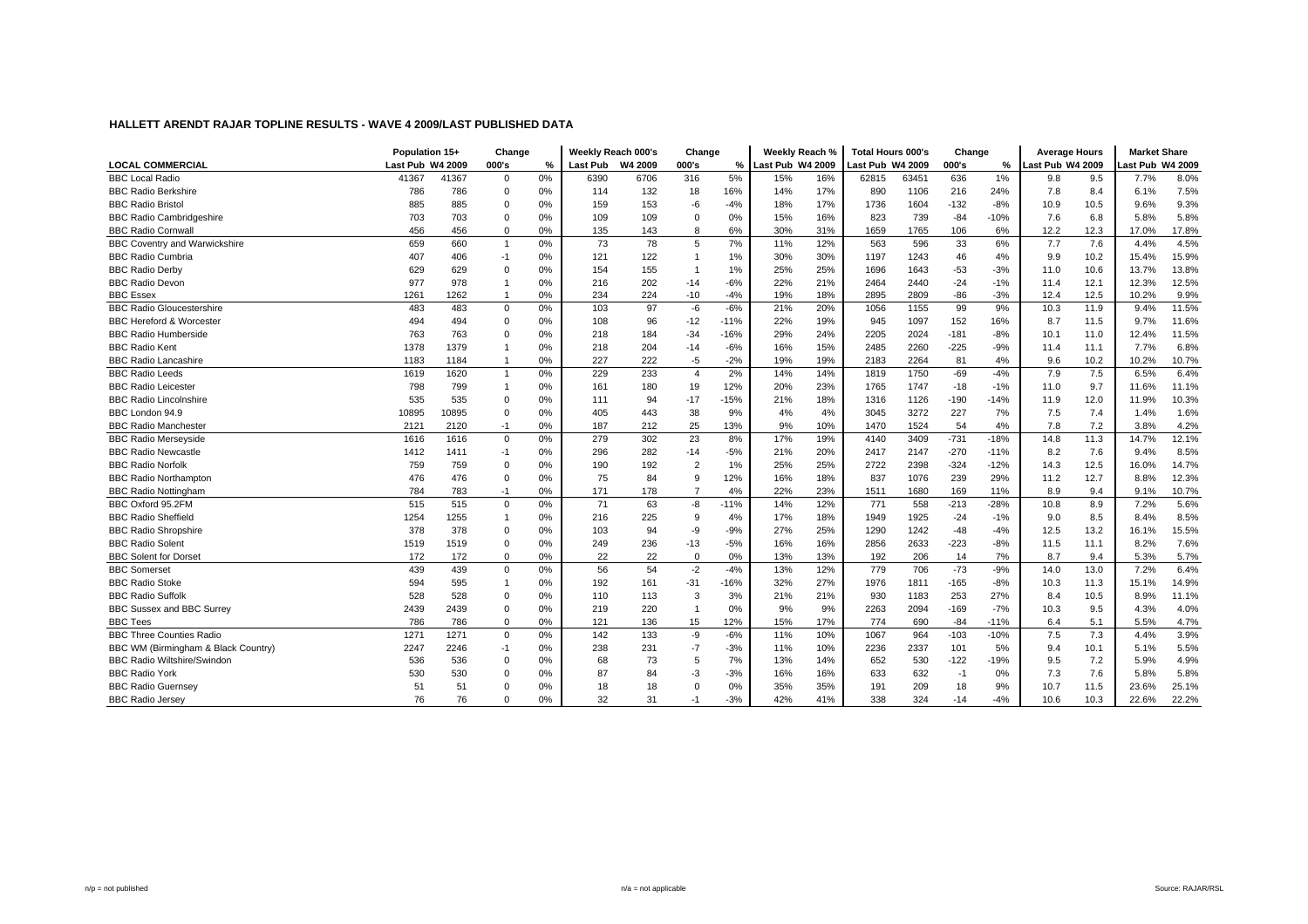|                                      | Population 15+   |       | Change         |    | Weekly Reach 000's |      | Change         |        | Weekly Reach %     |     | <b>Total Hours 000's</b> |       | Change |        | <b>Average Hours</b> |      | <b>Market Share</b> |       |
|--------------------------------------|------------------|-------|----------------|----|--------------------|------|----------------|--------|--------------------|-----|--------------------------|-------|--------|--------|----------------------|------|---------------------|-------|
| <b>LOCAL COMMERCIAL</b>              | Last Pub W4 2009 |       | 000's          | %  | Last Pub W4 2009   |      | 000's          |        | % Last Pub W4 2009 |     | Last Pub W4 2009         |       | 000's  | %      | Last Pub W4 2009     |      | ast Pub W4 2009     |       |
| <b>BBC Local Radio</b>               | 41367            | 41367 | $\mathbf 0$    | 0% | 6390               | 6706 | 316            | 5%     | 15%                | 16% | 62815                    | 63451 | 636    | 1%     | 9.8                  | 9.5  | 7.7%                | 8.0%  |
| <b>BBC Radio Berkshire</b>           | 786              | 786   | $\mathbf 0$    | 0% | 114                | 132  | 18             | 16%    | 14%                | 17% | 890                      | 1106  | 216    | 24%    | 7.8                  | 8.4  | 6.1%                | 7.5%  |
| <b>BBC Radio Bristol</b>             | 885              | 885   | $\Omega$       | 0% | 159                | 153  | -6             | $-4%$  | 18%                | 17% | 1736                     | 1604  | $-132$ | $-8%$  | 10.9                 | 10.5 | 9.6%                | 9.3%  |
| <b>BBC Radio Cambridgeshire</b>      | 703              | 703   | $\Omega$       | 0% | 109                | 109  | $\Omega$       | 0%     | 15%                | 16% | 823                      | 739   | $-84$  | $-10%$ | 7.6                  | 6.8  | 5.8%                | 5.8%  |
| <b>BBC Radio Cornwall</b>            | 456              | 456   | $\mathbf 0$    | 0% | 135                | 143  | 8              | 6%     | 30%                | 31% | 1659                     | 1765  | 106    | 6%     | 12.2                 | 12.3 | 17.0%               | 17.8% |
| <b>BBC Coventry and Warwickshire</b> | 659              | 660   | $\overline{1}$ | 0% | 73                 | 78   | 5              | 7%     | 11%                | 12% | 563                      | 596   | 33     | 6%     | 7.7                  | 7.6  | 4.4%                | 4.5%  |
| <b>BBC Radio Cumbria</b>             | 407              | 406   | $-1$           | 0% | 121                | 122  |                | 1%     | 30%                | 30% | 1197                     | 1243  | 46     | 4%     | 9.9                  | 10.2 | 15.4%               | 15.9% |
| <b>BBC Radio Derby</b>               | 629              | 629   | $\Omega$       | 0% | 154                | 155  |                | 1%     | 25%                | 25% | 1696                     | 1643  | $-53$  | $-3%$  | 11.0                 | 10.6 | 13.7%               | 13.8% |
| <b>BBC Radio Devon</b>               | 977              | 978   |                | 0% | 216                | 202  | $-14$          | $-6%$  | 22%                | 21% | 2464                     | 2440  | $-24$  | $-1%$  | 11.4                 | 12.1 | 12.3%               | 12.5% |
| <b>BBC Essex</b>                     | 1261             | 1262  |                | 0% | 234                | 224  | $-10$          | $-4%$  | 19%                | 18% | 2895                     | 2809  | -86    | $-3%$  | 12.4                 | 12.5 | 10.2%               | 9.9%  |
| <b>BBC Radio Gloucestershire</b>     | 483              | 483   | $\mathbf 0$    | 0% | 103                | 97   | $-6$           | $-6%$  | 21%                | 20% | 1056                     | 1155  | 99     | 9%     | 10.3                 | 11.9 | 9.4%                | 11.5% |
| <b>BBC Hereford &amp; Worcester</b>  | 494              | 494   | $\mathbf 0$    | 0% | 108                | 96   | $-12$          | $-11%$ | 22%                | 19% | 945                      | 1097  | 152    | 16%    | 8.7                  | 11.5 | 9.7%                | 11.6% |
| <b>BBC Radio Humberside</b>          | 763              | 763   | $\Omega$       | 0% | 218                | 184  | $-34$          | $-16%$ | 29%                | 24% | 2205                     | 2024  | $-181$ | $-8%$  | 10.1                 | 11.0 | 12.4%               | 11.5% |
| <b>BBC Radio Kent</b>                | 1378             | 1379  |                | 0% | 218                | 204  | $-14$          | $-6%$  | 16%                | 15% | 2485                     | 2260  | $-225$ | $-9%$  | 11.4                 | 11.1 | 7.7%                | 6.8%  |
| <b>BBC Radio Lancashire</b>          | 1183             | 1184  |                | 0% | 227                | 222  | $-5$           | $-2%$  | 19%                | 19% | 2183                     | 2264  | 81     | 4%     | 9.6                  | 10.2 | 10.2%               | 10.7% |
| <b>BBC Radio Leeds</b>               | 1619             | 1620  | $\mathbf{1}$   | 0% | 229                | 233  | $\overline{4}$ | 2%     | 14%                | 14% | 1819                     | 1750  | -69    | $-4%$  | 7.9                  | 7.5  | 6.5%                | 6.4%  |
| <b>BBC Radio Leicester</b>           | 798              | 799   |                | 0% | 161                | 180  | 19             | 12%    | 20%                | 23% | 1765                     | 1747  | $-18$  | $-1%$  | 11.0                 | 9.7  | 11.6%               | 11.1% |
| <b>BBC Radio Lincolnshire</b>        | 535              | 535   | $\Omega$       | 0% | 111                | 94   | $-17$          | $-15%$ | 21%                | 18% | 1316                     | 1126  | $-190$ | $-14%$ | 11.9                 | 12.0 | 11.9%               | 10.3% |
| BBC London 94.9                      | 10895            | 10895 | $\Omega$       | 0% | 405                | 443  | 38             | 9%     | 4%                 | 4%  | 3045                     | 3272  | 227    | 7%     | 7.5                  | 7.4  | 1.4%                | 1.6%  |
| <b>BBC Radio Manchester</b>          | 2121             | 2120  | $-1$           | 0% | 187                | 212  | 25             | 13%    | 9%                 | 10% | 1470                     | 1524  | 54     | 4%     | 7.8                  | 7.2  | 3.8%                | 4.2%  |
| <b>BBC Radio Merseyside</b>          | 1616             | 1616  | $\mathbf 0$    | 0% | 279                | 302  | 23             | 8%     | 17%                | 19% | 4140                     | 3409  | $-731$ | $-18%$ | 14.8                 | 11.3 | 14.7%               | 12.1% |
| <b>BBC Radio Newcastle</b>           | 1412             | 1411  | $-1$           | 0% | 296                | 282  | $-14$          | $-5%$  | 21%                | 20% | 2417                     | 2147  | $-270$ | $-11%$ | 8.2                  | 7.6  | 9.4%                | 8.5%  |
| <b>BBC Radio Norfolk</b>             | 759              | 759   | $\mathbf 0$    | 0% | 190                | 192  | $\overline{2}$ | 1%     | 25%                | 25% | 2722                     | 2398  | $-324$ | $-12%$ | 14.3                 | 12.5 | 16.0%               | 14.7% |
| <b>BBC Radio Northampton</b>         | 476              | 476   | $\mathbf 0$    | 0% | 75                 | 84   | 9              | 12%    | 16%                | 18% | 837                      | 1076  | 239    | 29%    | 11.2                 | 12.7 | 8.8%                | 12.3% |
| <b>BBC Radio Nottingham</b>          | 784              | 783   | $-1$           | 0% | 171                | 178  | $\overline{7}$ | 4%     | 22%                | 23% | 1511                     | 1680  | 169    | 11%    | 8.9                  | 9.4  | 9.1%                | 10.7% |
| BBC Oxford 95.2FM                    | 515              | 515   | $\mathbf 0$    | 0% | 71                 | 63   | -8             | $-11%$ | 14%                | 12% | 771                      | 558   | $-213$ | $-28%$ | 10.8                 | 8.9  | 7.2%                | 5.6%  |
| <b>BBC Radio Sheffield</b>           | 1254             | 1255  | $\mathbf{1}$   | 0% | 216                | 225  | 9              | 4%     | 17%                | 18% | 1949                     | 1925  | $-24$  | $-1%$  | 9.0                  | 8.5  | 8.4%                | 8.5%  |
| <b>BBC Radio Shropshire</b>          | 378              | 378   | $\Omega$       | 0% | 103                | 94   | $-9$           | $-9%$  | 27%                | 25% | 1290                     | 1242  | $-48$  | $-4%$  | 12.5                 | 13.2 | 16.1%               | 15.5% |
| <b>BBC Radio Solent</b>              | 1519             | 1519  | $\mathbf 0$    | 0% | 249                | 236  | $-13$          | $-5%$  | 16%                | 16% | 2856                     | 2633  | $-223$ | $-8%$  | 11.5                 | 11.1 | 8.2%                | 7.6%  |
| <b>BBC Solent for Dorset</b>         | 172              | 172   | $\mathbf 0$    | 0% | 22                 | 22   | $\mathbf 0$    | 0%     | 13%                | 13% | 192                      | 206   | 14     | 7%     | 8.7                  | 9.4  | 5.3%                | 5.7%  |
| <b>BBC</b> Somerset                  | 439              | 439   | $\mathbf 0$    | 0% | 56                 | 54   | $-2$           | $-4%$  | 13%                | 12% | 779                      | 706   | $-73$  | $-9%$  | 14.0                 | 13.0 | 7.2%                | 6.4%  |
| <b>BBC Radio Stoke</b>               | 594              | 595   |                | 0% | 192                | 161  | $-31$          | $-16%$ | 32%                | 27% | 1976                     | 1811  | $-165$ | $-8%$  | 10.3                 | 11.3 | 15.1%               | 14.9% |
| <b>BBC Radio Suffolk</b>             | 528              | 528   | $\mathbf 0$    | 0% | 110                | 113  | 3              | 3%     | 21%                | 21% | 930                      | 1183  | 253    | 27%    | 8.4                  | 10.5 | 8.9%                | 11.1% |
| <b>BBC Sussex and BBC Surrey</b>     | 2439             | 2439  | $\mathbf 0$    | 0% | 219                | 220  | $\overline{1}$ | 0%     | 9%                 | 9%  | 2263                     | 2094  | $-169$ | $-7%$  | 10.3                 | 9.5  | 4.3%                | 4.0%  |
| <b>BBC Tees</b>                      | 786              | 786   | $\mathbf 0$    | 0% | 121                | 136  | 15             | 12%    | 15%                | 17% | 774                      | 690   | $-84$  | $-11%$ | 6.4                  | 5.1  | 5.5%                | 4.7%  |
| <b>BBC Three Counties Radio</b>      | 1271             | 1271  | $\mathbf 0$    | 0% | 142                | 133  | -9             | $-6%$  | 11%                | 10% | 1067                     | 964   | $-103$ | $-10%$ | 7.5                  | 7.3  | 4.4%                | 3.9%  |
| BBC WM (Birmingham & Black Country)  | 2247             | 2246  | $-1$           | 0% | 238                | 231  | $-7$           | $-3%$  | 11%                | 10% | 2236                     | 2337  | 101    | 5%     | 9.4                  | 10.1 | 5.1%                | 5.5%  |
| <b>BBC Radio Wiltshire/Swindon</b>   | 536              | 536   | $\mathbf 0$    | 0% | 68                 | 73   | 5              | 7%     | 13%                | 14% | 652                      | 530   | $-122$ | $-19%$ | 9.5                  | 7.2  | 5.9%                | 4.9%  |
| <b>BBC Radio York</b>                | 530              | 530   | $\Omega$       | 0% | 87                 | 84   | $-3$           | $-3%$  | 16%                | 16% | 633                      | 632   | $-1$   | 0%     | 7.3                  | 7.6  | 5.8%                | 5.8%  |
| <b>BBC Radio Guernsey</b>            | 51               | 51    | 0              | 0% | 18                 | 18   | $\mathbf 0$    | 0%     | 35%                | 35% | 191                      | 209   | 18     | 9%     | 10.7                 | 11.5 | 23.6%               | 25.1% |
| <b>BBC Radio Jersey</b>              | 76               | 76    | $\Omega$       | 0% | 32                 | 31   | $-1$           | $-3%$  | 42%                | 41% | 338                      | 324   | $-14$  | $-4%$  | 10.6                 | 10.3 | 22.6%               | 22.2% |